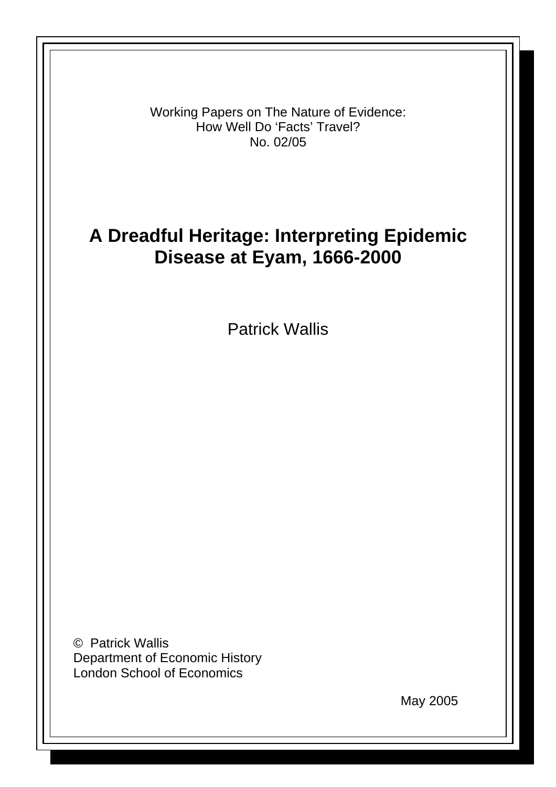Working Papers on The Nature of Evidence: How Well Do 'Facts' Travel? No. 02/05

# **A Dreadful Heritage: Interpreting Epidemic Disease at Eyam, 1666-2000**

Patrick Wallis

© Patrick Wallis Department of Economic History London School of Economics

May 2005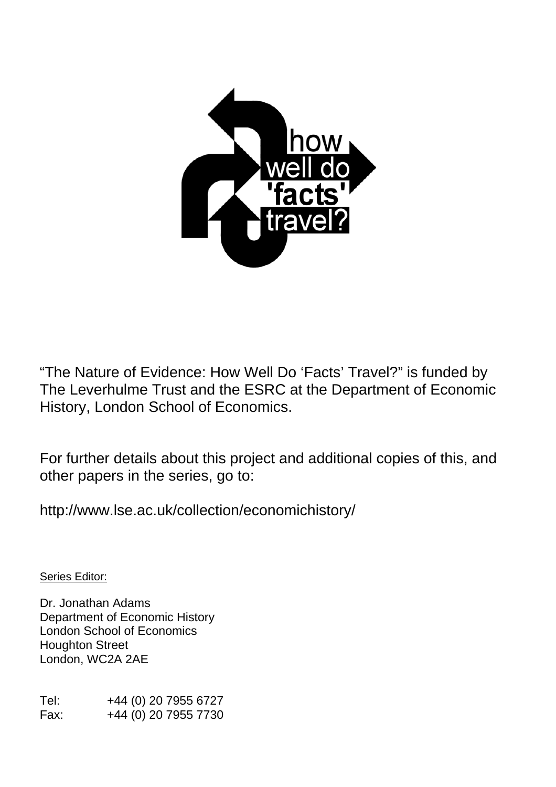

"The Nature of Evidence: How Well Do 'Facts' Travel?" is funded by The Leverhulme Trust and the ESRC at the Department of Economic History, London School of Economics.

For further details about this project and additional copies of this, and other papers in the series, go to:

http://www.lse.ac.uk/collection/economichistory/

Series Editor:

Dr. Jonathan Adams Department of Economic History London School of Economics Houghton Street London, WC2A 2AE

Tel: +44 (0) 20 7955 6727 Fax: +44 (0) 20 7955 7730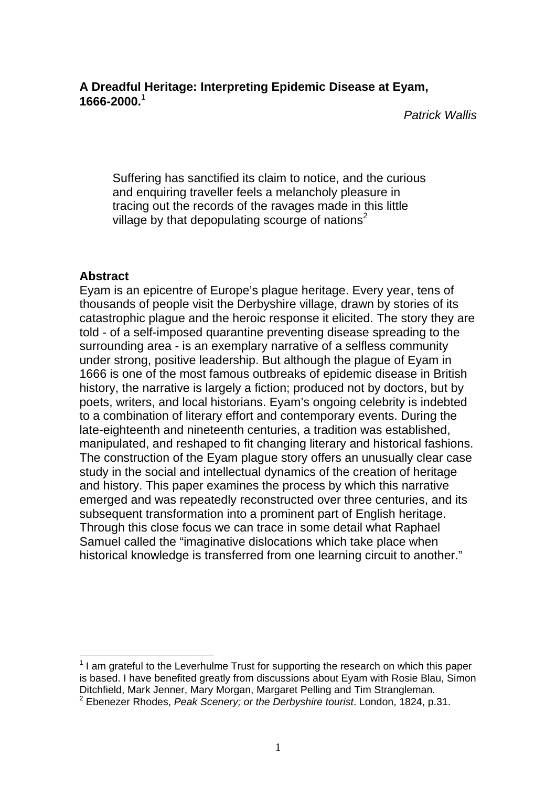# **A Dreadful Heritage: Interpreting Epidemic Disease at Eyam, 1666-2000.**[1](#page-2-0)

*Patrick Wallis* 

Suffering has sanctified its claim to notice, and the curious and enquiring traveller feels a melancholy pleasure in tracing out the records of the ravages made in this little village by that depopulating scourge of nations<sup>[2](#page-2-1)</sup>

# **Abstract**

 $\overline{a}$ 

Eyam is an epicentre of Europe's plague heritage. Every year, tens of thousands of people visit the Derbyshire village, drawn by stories of its catastrophic plague and the heroic response it elicited. The story they are told - of a self-imposed quarantine preventing disease spreading to the surrounding area - is an exemplary narrative of a selfless community under strong, positive leadership. But although the plague of Eyam in 1666 is one of the most famous outbreaks of epidemic disease in British history, the narrative is largely a fiction; produced not by doctors, but by poets, writers, and local historians. Eyam's ongoing celebrity is indebted to a combination of literary effort and contemporary events. During the late-eighteenth and nineteenth centuries, a tradition was established, manipulated, and reshaped to fit changing literary and historical fashions. The construction of the Eyam plague story offers an unusually clear case study in the social and intellectual dynamics of the creation of heritage and history. This paper examines the process by which this narrative emerged and was repeatedly reconstructed over three centuries, and its subsequent transformation into a prominent part of English heritage. Through this close focus we can trace in some detail what Raphael Samuel called the "imaginative dislocations which take place when historical knowledge is transferred from one learning circuit to another."

<span id="page-2-1"></span><span id="page-2-0"></span> $1$  I am grateful to the Leverhulme Trust for supporting the research on which this paper is based. I have benefited greatly from discussions about Eyam with Rosie Blau, Simon Ditchfield, Mark Jenner, Mary Morgan, Margaret Pelling and Tim Strangleman.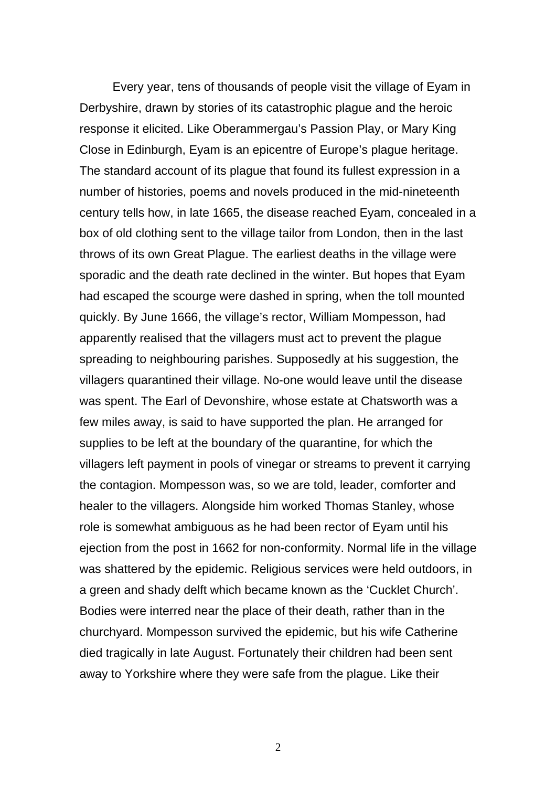Every year, tens of thousands of people visit the village of Eyam in Derbyshire, drawn by stories of its catastrophic plague and the heroic response it elicited. Like Oberammergau's Passion Play, or Mary King Close in Edinburgh, Eyam is an epicentre of Europe's plague heritage. The standard account of its plague that found its fullest expression in a number of histories, poems and novels produced in the mid-nineteenth century tells how, in late 1665, the disease reached Eyam, concealed in a box of old clothing sent to the village tailor from London, then in the last throws of its own Great Plague. The earliest deaths in the village were sporadic and the death rate declined in the winter. But hopes that Eyam had escaped the scourge were dashed in spring, when the toll mounted quickly. By June 1666, the village's rector, William Mompesson, had apparently realised that the villagers must act to prevent the plague spreading to neighbouring parishes. Supposedly at his suggestion, the villagers quarantined their village. No-one would leave until the disease was spent. The Earl of Devonshire, whose estate at Chatsworth was a few miles away, is said to have supported the plan. He arranged for supplies to be left at the boundary of the quarantine, for which the villagers left payment in pools of vinegar or streams to prevent it carrying the contagion. Mompesson was, so we are told, leader, comforter and healer to the villagers. Alongside him worked Thomas Stanley, whose role is somewhat ambiguous as he had been rector of Eyam until his ejection from the post in 1662 for non-conformity. Normal life in the village was shattered by the epidemic. Religious services were held outdoors, in a green and shady delft which became known as the 'Cucklet Church'. Bodies were interred near the place of their death, rather than in the churchyard. Mompesson survived the epidemic, but his wife Catherine died tragically in late August. Fortunately their children had been sent away to Yorkshire where they were safe from the plague. Like their

2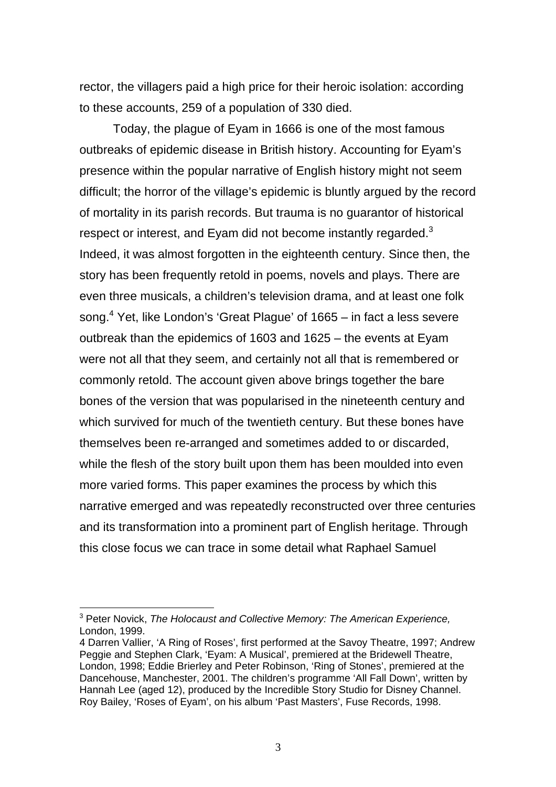rector, the villagers paid a high price for their heroic isolation: according to these accounts, 259 of a population of 330 died.

Today, the plague of Eyam in 1666 is one of the most famous outbreaks of epidemic disease in British history. Accounting for Eyam's presence within the popular narrative of English history might not seem difficult; the horror of the village's epidemic is bluntly argued by the record of mortality in its parish records. But trauma is no guarantor of historical respect or interest, and Eyam did not become instantly regarded.<sup>[3](#page-4-0)</sup> Indeed, it was almost forgotten in the eighteenth century. Since then, the story has been frequently retold in poems, novels and plays. There are even three musicals, a children's television drama, and at least one folk song.<sup>4</sup> Yet, like London's 'Great Plague' of 1665 – in fact a less severe outbreak than the epidemics of 1603 and 1625 – the events at Eyam were not all that they seem, and certainly not all that is remembered or commonly retold. The account given above brings together the bare bones of the version that was popularised in the nineteenth century and which survived for much of the twentieth century. But these bones have themselves been re-arranged and sometimes added to or discarded, while the flesh of the story built upon them has been moulded into even more varied forms. This paper examines the process by which this narrative emerged and was repeatedly reconstructed over three centuries and its transformation into a prominent part of English heritage. Through this close focus we can trace in some detail what Raphael Samuel

<span id="page-4-0"></span><sup>3</sup> Peter Novick, *The Holocaust and Collective Memory: The American Experience,* London, 1999.

<span id="page-4-1"></span><sup>4</sup> Darren Vallier, 'A Ring of Roses', first performed at the Savoy Theatre, 1997; Andrew Peggie and Stephen Clark, 'Eyam: A Musical', premiered at the Bridewell Theatre, London, 1998; Eddie Brierley and Peter Robinson, 'Ring of Stones', premiered at the Dancehouse, Manchester, 2001. The children's programme 'All Fall Down', written by Hannah Lee (aged 12), produced by the Incredible Story Studio for Disney Channel. Roy Bailey, 'Roses of Eyam', on his album 'Past Masters', Fuse Records, 1998.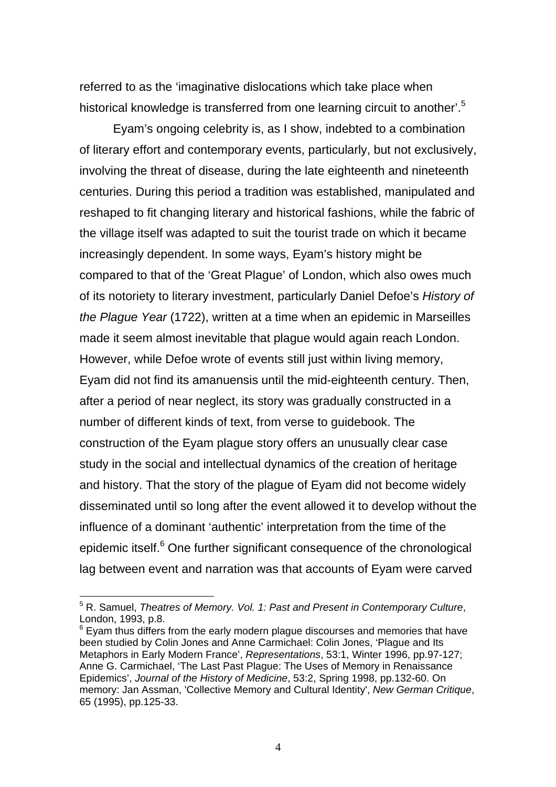referred to as the 'imaginative dislocations which take place when historical knowledge is transferred from one learning circuit to another'.<sup>[5](#page-5-0)</sup>

Eyam's ongoing celebrity is, as I show, indebted to a combination of literary effort and contemporary events, particularly, but not exclusively, involving the threat of disease, during the late eighteenth and nineteenth centuries. During this period a tradition was established, manipulated and reshaped to fit changing literary and historical fashions, while the fabric of the village itself was adapted to suit the tourist trade on which it became increasingly dependent. In some ways, Eyam's history might be compared to that of the 'Great Plague' of London, which also owes much of its notoriety to literary investment, particularly Daniel Defoe's *History of the Plague Year* (1722), written at a time when an epidemic in Marseilles made it seem almost inevitable that plague would again reach London. However, while Defoe wrote of events still just within living memory, Eyam did not find its amanuensis until the mid-eighteenth century. Then, after a period of near neglect, its story was gradually constructed in a number of different kinds of text, from verse to guidebook. The construction of the Eyam plague story offers an unusually clear case study in the social and intellectual dynamics of the creation of heritage and history. That the story of the plague of Eyam did not become widely disseminated until so long after the event allowed it to develop without the influence of a dominant 'authentic' interpretation from the time of the epidemic itself.<sup>[6](#page-5-1)</sup> One further significant consequence of the chronological lag between event and narration was that accounts of Eyam were carved

<span id="page-5-0"></span><sup>5</sup> R. Samuel, *Theatres of Memory. Vol. 1: Past and Present in Contemporary Culture*, London, 1993, p.8.

<span id="page-5-1"></span> $6$  Eyam thus differs from the early modern plague discourses and memories that have been studied by Colin Jones and Anne Carmichael: Colin Jones, 'Plague and Its Metaphors in Early Modern France', *Representations*, 53:1, Winter 1996, pp.97-127; Anne G. Carmichael, 'The Last Past Plague: The Uses of Memory in Renaissance Epidemics', *Journal of the History of Medicine*, 53:2, Spring 1998, pp.132-60. On memory: Jan Assman, 'Collective Memory and Cultural Identity', *New German Critique*, 65 (1995), pp.125-33.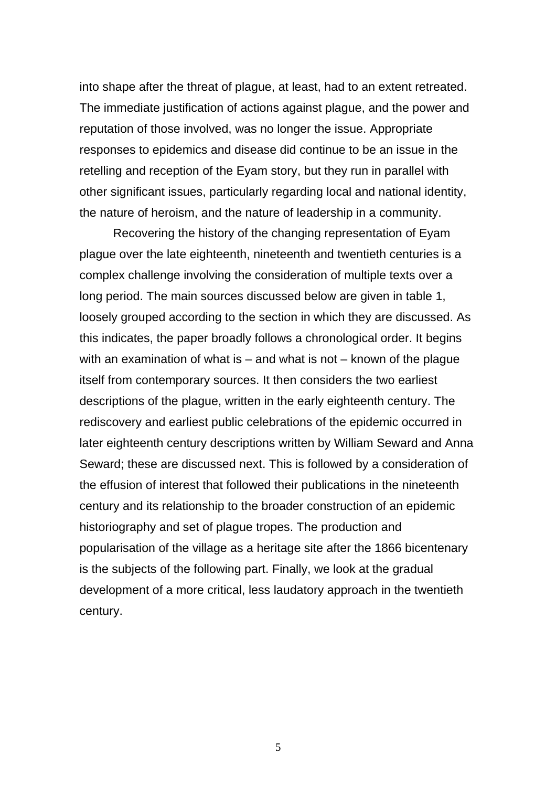into shape after the threat of plague, at least, had to an extent retreated. The immediate justification of actions against plague, and the power and reputation of those involved, was no longer the issue. Appropriate responses to epidemics and disease did continue to be an issue in the retelling and reception of the Eyam story, but they run in parallel with other significant issues, particularly regarding local and national identity, the nature of heroism, and the nature of leadership in a community.

Recovering the history of the changing representation of Eyam plague over the late eighteenth, nineteenth and twentieth centuries is a complex challenge involving the consideration of multiple texts over a long period. The main sources discussed below are given in table 1, loosely grouped according to the section in which they are discussed. As this indicates, the paper broadly follows a chronological order. It begins with an examination of what is  $-$  and what is not  $-$  known of the plague itself from contemporary sources. It then considers the two earliest descriptions of the plague, written in the early eighteenth century. The rediscovery and earliest public celebrations of the epidemic occurred in later eighteenth century descriptions written by William Seward and Anna Seward; these are discussed next. This is followed by a consideration of the effusion of interest that followed their publications in the nineteenth century and its relationship to the broader construction of an epidemic historiography and set of plague tropes. The production and popularisation of the village as a heritage site after the 1866 bicentenary is the subjects of the following part. Finally, we look at the gradual development of a more critical, less laudatory approach in the twentieth century.

5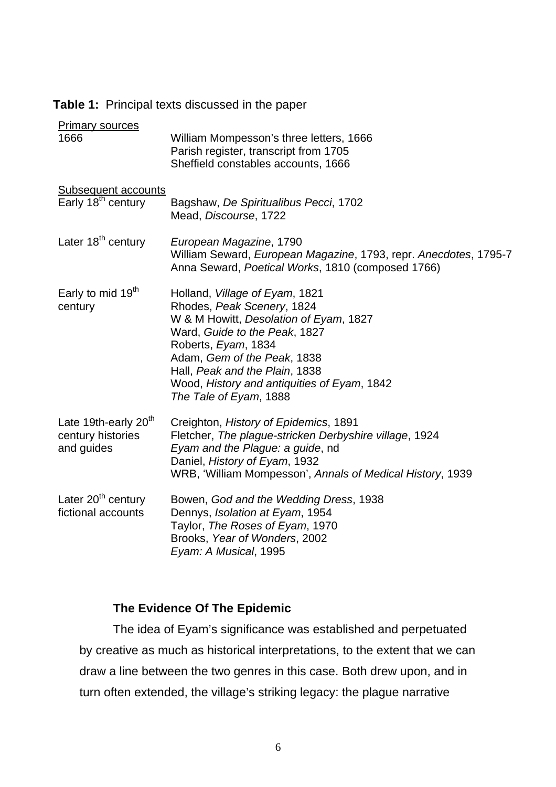| <b>Table 1:</b> Principal texts discussed in the paper |
|--------------------------------------------------------|
|--------------------------------------------------------|

| <b>Primary sources</b>                                              |                                                                                                                                                                                                                                                                                                          |
|---------------------------------------------------------------------|----------------------------------------------------------------------------------------------------------------------------------------------------------------------------------------------------------------------------------------------------------------------------------------------------------|
| 1666                                                                | William Mompesson's three letters, 1666<br>Parish register, transcript from 1705<br>Sheffield constables accounts, 1666                                                                                                                                                                                  |
| <b>Subsequent accounts</b>                                          |                                                                                                                                                                                                                                                                                                          |
| Early 18 <sup>th</sup> century                                      | Bagshaw, De Spiritualibus Pecci, 1702<br>Mead, Discourse, 1722                                                                                                                                                                                                                                           |
| Later 18 <sup>th</sup> century                                      | European Magazine, 1790<br>William Seward, European Magazine, 1793, repr. Anecdotes, 1795-7<br>Anna Seward, Poetical Works, 1810 (composed 1766)                                                                                                                                                         |
| Early to mid 19 <sup>th</sup><br>century                            | Holland, Village of Eyam, 1821<br>Rhodes, Peak Scenery, 1824<br>W & M Howitt, Desolation of Eyam, 1827<br>Ward, Guide to the Peak, 1827<br>Roberts, Eyam, 1834<br>Adam, Gem of the Peak, 1838<br>Hall, Peak and the Plain, 1838<br>Wood, History and antiquities of Eyam, 1842<br>The Tale of Eyam, 1888 |
| Late 19th-early 20 <sup>th</sup><br>century histories<br>and guides | Creighton, History of Epidemics, 1891<br>Fletcher, The plague-stricken Derbyshire village, 1924<br>Eyam and the Plague: a guide, nd<br>Daniel, History of Eyam, 1932<br>WRB, 'William Mompesson', Annals of Medical History, 1939                                                                        |
| Later 20 <sup>th</sup> century<br>fictional accounts                | Bowen, God and the Wedding Dress, 1938<br>Dennys, Isolation at Eyam, 1954<br>Taylor, The Roses of Eyam, 1970<br>Brooks, Year of Wonders, 2002<br>Eyam: A Musical, 1995                                                                                                                                   |

# **The Evidence Of The Epidemic**

The idea of Eyam's significance was established and perpetuated by creative as much as historical interpretations, to the extent that we can draw a line between the two genres in this case. Both drew upon, and in turn often extended, the village's striking legacy: the plague narrative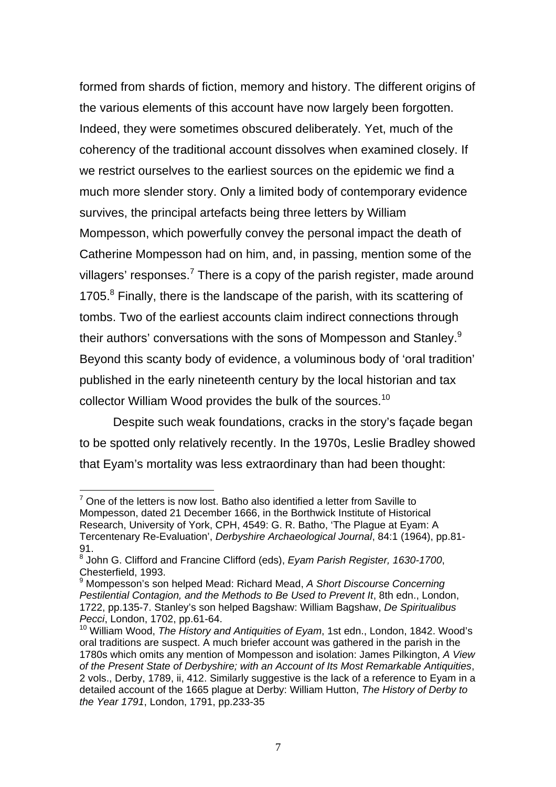formed from shards of fiction, memory and history. The different origins of the various elements of this account have now largely been forgotten. Indeed, they were sometimes obscured deliberately. Yet, much of the coherency of the traditional account dissolves when examined closely. If we restrict ourselves to the earliest sources on the epidemic we find a much more slender story. Only a limited body of contemporary evidence survives, the principal artefacts being three letters by William Mompesson, which powerfully convey the personal impact the death of Catherine Mompesson had on him, and, in passing, mention some of the villagers' responses.<sup>[7](#page-8-0)</sup> There is a copy of the parish register, made around 1705.<sup>[8](#page-8-1)</sup> Finally, there is the landscape of the parish, with its scattering of tombs. Two of the earliest accounts claim indirect connections through their authors' conversations with the sons of Mompesson and Stanley.<sup>[9](#page-8-2)</sup> Beyond this scanty body of evidence, a voluminous body of 'oral tradition' published in the early nineteenth century by the local historian and tax collector William Wood provides the bulk of the sources.<sup>10</sup>

Despite such weak foundations, cracks in the story's façade began to be spotted only relatively recently. In the 1970s, Leslie Bradley showed that Eyam's mortality was less extraordinary than had been thought:

<span id="page-8-0"></span> $7$  One of the letters is now lost. Batho also identified a letter from Saville to Mompesson, dated 21 December 1666, in the Borthwick Institute of Historical Research, University of York, CPH, 4549: G. R. Batho, 'The Plague at Eyam: A Tercentenary Re-Evaluation', *Derbyshire Archaeological Journal*, 84:1 (1964), pp.81- 91.

<span id="page-8-1"></span><sup>8</sup> John G. Clifford and Francine Clifford (eds), *Eyam Parish Register, 1630-1700*, Chesterfield, 1993.

<span id="page-8-2"></span><sup>9</sup> Mompesson's son helped Mead: Richard Mead, *A Short Discourse Concerning Pestilential Contagion, and the Methods to Be Used to Prevent It*, 8th edn., London, 1722, pp.135-7. Stanley's son helped Bagshaw: William Bagshaw, *De Spiritualibus Pecci*, London, 1702, pp.61-64.

<span id="page-8-3"></span><sup>10</sup> William Wood, *The History and Antiquities of Eyam*, 1st edn., London, 1842. Wood's oral traditions are suspect. A much briefer account was gathered in the parish in the 1780s which omits any mention of Mompesson and isolation: James Pilkington, *A View of the Present State of Derbyshire; with an Account of Its Most Remarkable Antiquities*, 2 vols., Derby, 1789, ii, 412. Similarly suggestive is the lack of a reference to Eyam in a detailed account of the 1665 plague at Derby: William Hutton, *The History of Derby to the Year 1791*, London, 1791, pp.233-35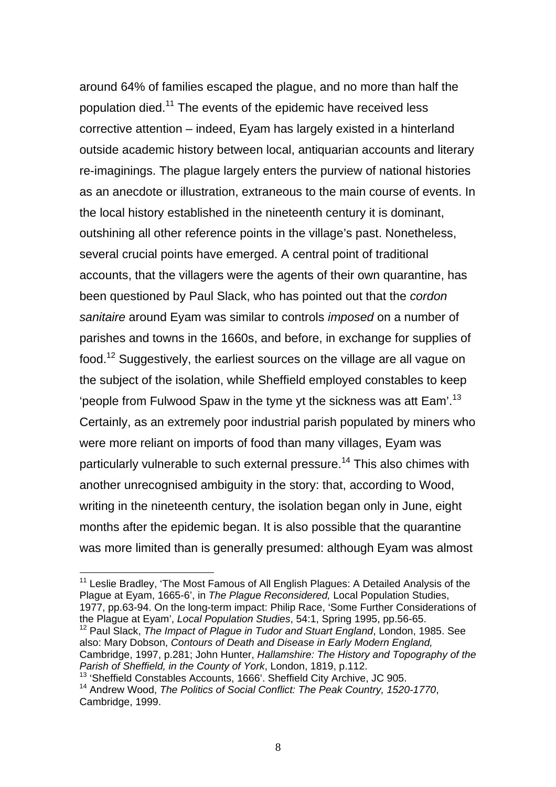around 64% of families escaped the plague, and no more than half the population died[.11](#page-9-0) The events of the epidemic have received less corrective attention – indeed, Eyam has largely existed in a hinterland outside academic history between local, antiquarian accounts and literary re-imaginings. The plague largely enters the purview of national histories as an anecdote or illustration, extraneous to the main course of events. In the local history established in the nineteenth century it is dominant, outshining all other reference points in the village's past. Nonetheless, several crucial points have emerged. A central point of traditional accounts, that the villagers were the agents of their own quarantine, has been questioned by Paul Slack, who has pointed out that the *cordon sanitaire* around Eyam was similar to controls *imposed* on a number of parishes and towns in the 1660s, and before, in exchange for supplies of food[.12](#page-9-1) Suggestively, the earliest sources on the village are all vague on the subject of the isolation, while Sheffield employed constables to keep 'people from Fulwood Spaw in the tyme yt the sickness was att Eam'.<sup>[13](#page-9-2)</sup> Certainly, as an extremely poor industrial parish populated by miners who were more reliant on imports of food than many villages, Eyam was particularly vulnerable to such external pressure.<sup>14</sup> This also chimes with another unrecognised ambiguity in the story: that, according to Wood, writing in the nineteenth century, the isolation began only in June, eight months after the epidemic began. It is also possible that the quarantine was more limited than is generally presumed: although Eyam was almost

<span id="page-9-1"></span>12 Paul Slack, *The Impact of Plague in Tudor and Stuart England*, London, 1985. See also: Mary Dobson, *Contours of Death and Disease in Early Modern England,* Cambridge, 1997, p.281; John Hunter, *Hallamshire: The History and Topography of the Parish of Sheffield, in the County of York*, London, 1819, p.112.

<span id="page-9-3"></span><span id="page-9-2"></span>13 'Sheffield Constables Accounts, 1666'. Sheffield City Archive, JC 905. 14 Andrew Wood, *The Politics of Social Conflict: The Peak Country, 1520-1770*, Cambridge, 1999.

<span id="page-9-0"></span><sup>&</sup>lt;sup>11</sup> Leslie Bradley, 'The Most Famous of All English Plagues: A Detailed Analysis of the Plague at Eyam, 1665-6', in *The Plague Reconsidered,* Local Population Studies, 1977, pp.63-94. On the long-term impact: Philip Race, 'Some Further Considerations of the Plague at Eyam', *Local Population Studies*, 54:1, Spring 1995, pp.56-65.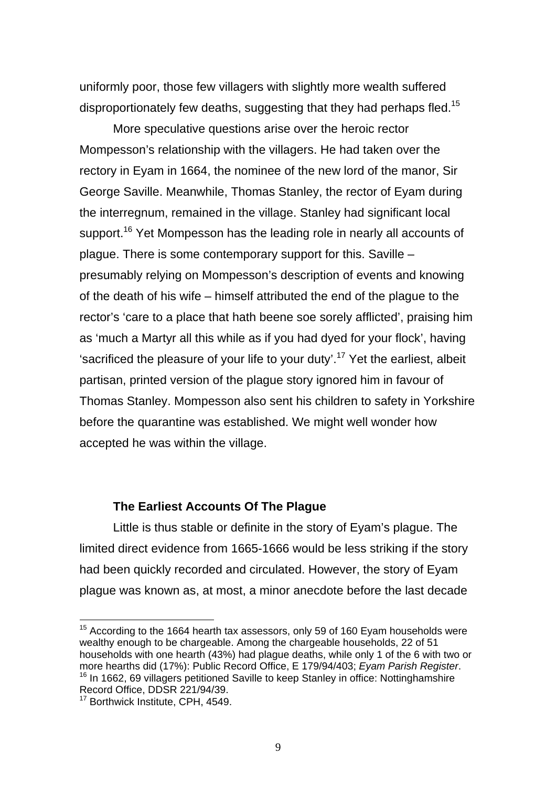uniformly poor, those few villagers with slightly more wealth suffered disproportionately few deaths, suggesting that they had perhaps fled.<sup>[15](#page-10-0)</sup>

More speculative questions arise over the heroic rector Mompesson's relationship with the villagers. He had taken over the rectory in Eyam in 1664, the nominee of the new lord of the manor, Sir George Saville. Meanwhile, Thomas Stanley, the rector of Eyam during the interregnum, remained in the village. Stanley had significant local support.<sup>16</sup> Yet Mompesson has the leading role in nearly all accounts of plague. There is some contemporary support for this. Saville – presumably relying on Mompesson's description of events and knowing of the death of his wife – himself attributed the end of the plague to the rector's 'care to a place that hath beene soe sorely afflicted', praising him as 'much a Martyr all this while as if you had dyed for your flock', having 'sacrificed the pleasure of your life to your duty'.<sup>17</sup> Yet the earliest, albeit partisan, printed version of the plague story ignored him in favour of Thomas Stanley. Mompesson also sent his children to safety in Yorkshire before the quarantine was established. We might well wonder how accepted he was within the village.

# **The Earliest Accounts Of The Plague**

Little is thus stable or definite in the story of Eyam's plague. The limited direct evidence from 1665-1666 would be less striking if the story had been quickly recorded and circulated. However, the story of Eyam plague was known as, at most, a minor anecdote before the last decade

<span id="page-10-0"></span> $15$  According to the 1664 hearth tax assessors, only 59 of 160 Evam households were wealthy enough to be chargeable. Among the chargeable households, 22 of 51 households with one hearth (43%) had plague deaths, while only 1 of the 6 with two or more hearths did (17%): Public Record Office, E 179/94/403; Eyam Parish Register. <sup>16</sup> In 1662, 69 villagers petitioned Saville to keep Stanley in office: Nottinghamshire Record Office, DDSR 221/94/39.

<span id="page-10-2"></span><span id="page-10-1"></span><sup>&</sup>lt;sup>17</sup> Borthwick Institute, CPH, 4549.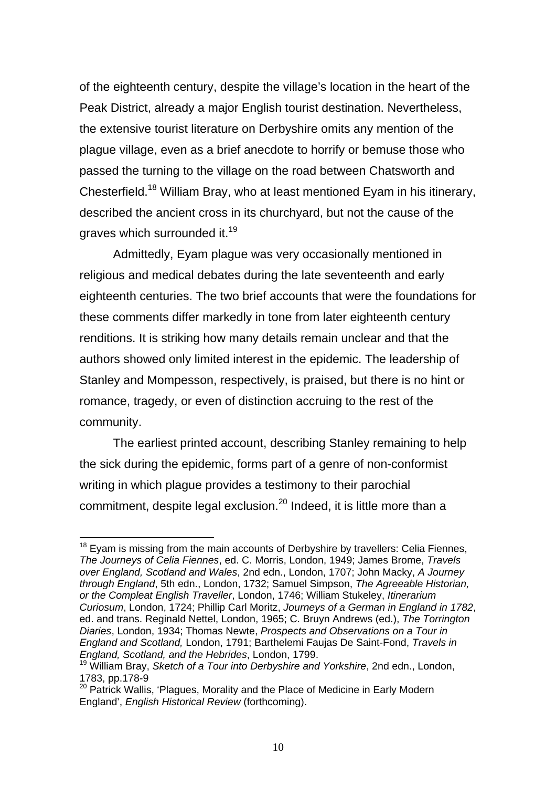of the eighteenth century, despite the village's location in the heart of the Peak District, already a major English tourist destination. Nevertheless, the extensive tourist literature on Derbyshire omits any mention of the plague village, even as a brief anecdote to horrify or bemuse those who passed the turning to the village on the road between Chatsworth and Chesterfield[.18](#page-11-0) William Bray, who at least mentioned Eyam in his itinerary, described the ancient cross in its churchyard, but not the cause of the graves which surrounded it.<sup>19</sup>

Admittedly, Eyam plague was very occasionally mentioned in religious and medical debates during the late seventeenth and early eighteenth centuries. The two brief accounts that were the foundations for these comments differ markedly in tone from later eighteenth century renditions. It is striking how many details remain unclear and that the authors showed only limited interest in the epidemic. The leadership of Stanley and Mompesson, respectively, is praised, but there is no hint or romance, tragedy, or even of distinction accruing to the rest of the community.

The earliest printed account, describing Stanley remaining to help the sick during the epidemic, forms part of a genre of non-conformist writing in which plague provides a testimony to their parochial commitment, despite legal exclusion. $^{20}$  Indeed, it is little more than a

<span id="page-11-0"></span> $18$  Eyam is missing from the main accounts of Derbyshire by travellers: Celia Fiennes, *The Journeys of Celia Fiennes*, ed. C. Morris, London, 1949; James Brome, *Travels over England, Scotland and Wales*, 2nd edn., London, 1707; John Macky, *A Journey through England*, 5th edn., London, 1732; Samuel Simpson, *The Agreeable Historian, or the Compleat English Traveller*, London, 1746; William Stukeley, *Itinerarium Curiosum*, London, 1724; Phillip Carl Moritz, *Journeys of a German in England in 1782*, ed. and trans. Reginald Nettel, London, 1965; C. Bruyn Andrews (ed.), *The Torrington Diaries*, London, 1934; Thomas Newte, *Prospects and Observations on a Tour in England and Scotland,* London, 1791; Barthelemi Faujas De Saint-Fond, *Travels in England, Scotland, and the Hebrides*, London, 1799.

<span id="page-11-1"></span><sup>19</sup> William Bray, *Sketch of a Tour into Derbyshire and Yorkshire*, 2nd edn., London, 1783, pp.178-9

<span id="page-11-2"></span><sup>&</sup>lt;sup>20</sup> Patrick Wallis. 'Plagues, Morality and the Place of Medicine in Early Modern England', *English Historical Review* (forthcoming).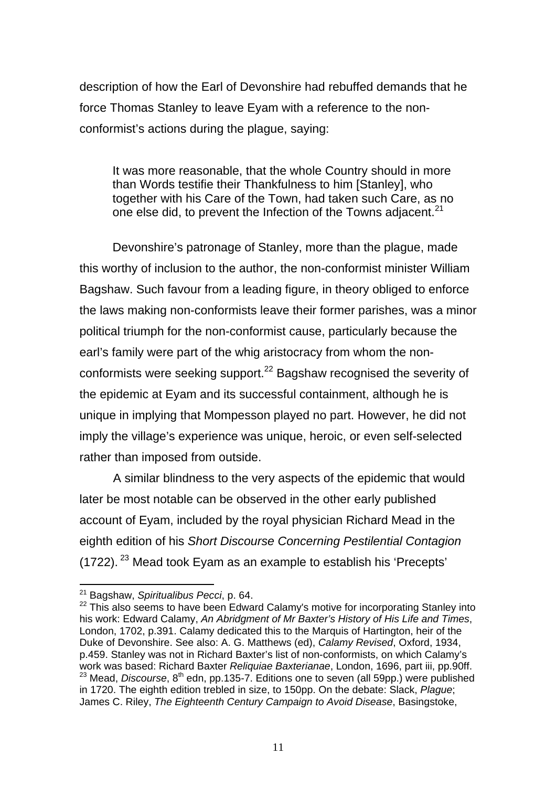<span id="page-12-2"></span>description of how the Earl of Devonshire had rebuffed demands that he force Thomas Stanley to leave Eyam with a reference to the nonconformist's actions during the plague, saying:

It was more reasonable, that the whole Country should in more than Words testifie their Thankfulness to him [Stanley], who together with his Care of the Town, had taken such Care, as no one else did, to prevent the Infection of the Towns adjacent.<sup>[21](#page-12-0)</sup>

Devonshire's patronage of Stanley, more than the plague, made this worthy of inclusion to the author, the non-conformist minister William Bagshaw. Such favour from a leading figure, in theory obliged to enforce the laws making non-conformists leave their former parishes, was a minor political triumph for the non-conformist cause, particularly because the earl's family were part of the whig aristocracy from whom the nonconformists were seeking support.<sup>22</sup> Bagshaw recognised the severity of the epidemic at Eyam and its successful containment, although he is unique in implying that Mompesson played no part. However, he did not imply the village's experience was unique, heroic, or even self-selected rather than imposed from outside.

A similar blindness to the very aspects of the epidemic that would later be most notable can be observed in the other early published account of Eyam, included by the royal physician Richard Mead in the eighth edition of his *Short Discourse Concerning Pestilential Contagion*  (1722). <sup>23</sup> Mead took Eyam as an example to establish his 'Precepts'

<span id="page-12-0"></span><sup>21</sup> Bagshaw, *Spiritualibus Pecci*, p. 64.

<span id="page-12-1"></span> $22$  This also seems to have been Edward Calamy's motive for incorporating Stanley into his work: Edward Calamy, *An Abridgment of Mr Baxter's History of His Life and Times*, London, 1702, p.391. Calamy dedicated this to the Marquis of Hartington, heir of the Duke of Devonshire. See also: A. G. Matthews (ed), *Calamy Revised*, Oxford, 1934, p.459. Stanley was not in Richard Baxter's list of non-conformists, on which Calamy's work was based: Richard Baxter *Reliquiae Baxterianae*, London, 1696, part iii, pp.90ff. 23 Mead, *Discourse*, 8th edn, pp.135-7. Editions one to seven (all 59pp.) were published in 1720. The eighth edition trebled in size, to 150pp. On the debate: Slack, *Plague*; James C. Riley, *The Eighteenth Century Campaign to Avoid Disease*, Basingstoke,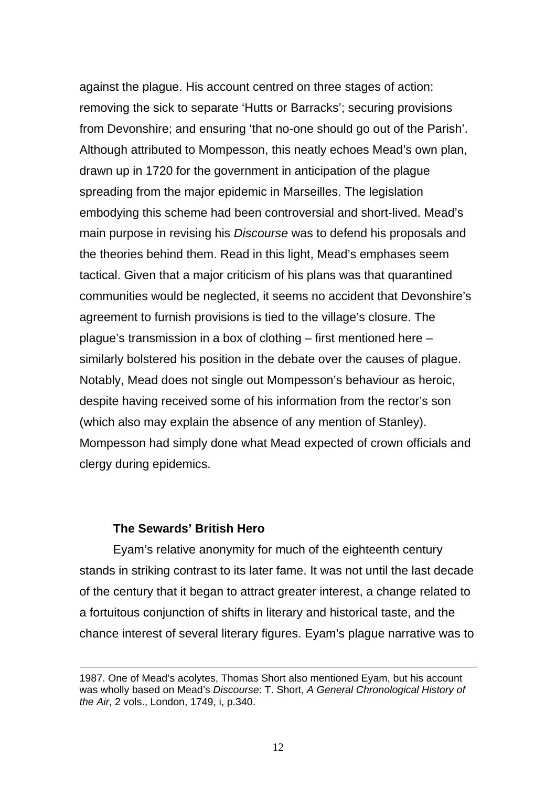against the plague. His account centred on three stages of action: removing the sick to separate 'Hutts or Barracks'; securing provisions from Devonshire; and ensuring 'that no-one should go out of the Parish'. Although attributed to Mompesson, this neatly echoes Mead's own plan, drawn up in 1720 for the government in anticipation of the plague spreading from the major epidemic in Marseilles. The legislation embodying this scheme had been controversial and short-lived. Mead's main purpose in revising his *Discourse* was to defend his proposals and the theories behind them. Read in this light, Mead's emphases seem tactical. Given that a major criticism of his plans was that quarantined communities would be neglected, it seems no accident that Devonshire's agreement to furnish provisions is tied to the village's closure. The plague's transmission in a box of clothing – first mentioned here – similarly bolstered his position in the debate over the causes of plague. Notably, Mead does not single out Mompesson's behaviour as heroic, despite having received some of his information from the rector's son (which also may explain the absence of any mention of Stanley). Mompesson had simply done what Mead expected of crown officials and clergy during epidemics.

# **The Sewards' British Hero**

<u>.</u>

Eyam's relative anonymity for much of the eighteenth century stands in striking contrast to its later fame. It was not until the last decade of the century that it began to attract greater interest, a change related to a fortuitous conjunction of shifts in literary and historical taste, and the chance interest of several literary figures. Eyam's plague narrative was to

<sup>1987.</sup> One of Mead's acolytes, Thomas Short also mentioned Eyam, but his account was wholly based on Mead's *Discourse*: T. Short, *A General Chronological History of the Air*, 2 vols., London, 1749, i, p.340.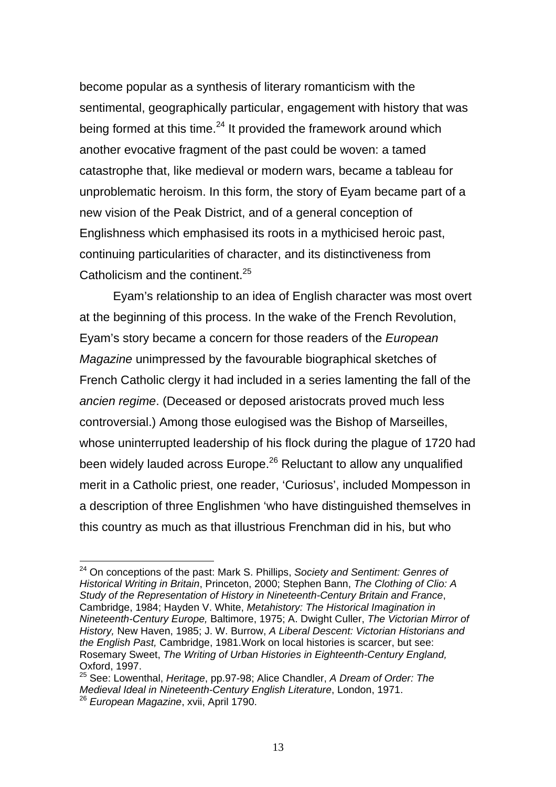become popular as a synthesis of literary romanticism with the sentimental, geographically particular, engagement with history that was being formed at this time. $^{24}$  It provided the framework around which another evocative fragment of the past could be woven: a tamed catastrophe that, like medieval or modern wars, became a tableau for unproblematic heroism. In this form, the story of Eyam became part of a new vision of the Peak District, and of a general conception of Englishness which emphasised its roots in a mythicised heroic past, continuing particularities of character, and its distinctiveness from Catholicism and the continent.<sup>25</sup>

Eyam's relationship to an idea of English character was most overt at the beginning of this process. In the wake of the French Revolution, Eyam's story became a concern for those readers of the *European Magazine* unimpressed by the favourable biographical sketches of French Catholic clergy it had included in a series lamenting the fall of the *ancien regime*. (Deceased or deposed aristocrats proved much less controversial.) Among those eulogised was the Bishop of Marseilles, whose uninterrupted leadership of his flock during the plague of 1720 had been widely lauded across Europe.<sup>26</sup> Reluctant to allow any unqualified merit in a Catholic priest, one reader, 'Curiosus', included Mompesson in a description of three Englishmen 'who have distinguished themselves in this country as much as that illustrious Frenchman did in his, but who

<span id="page-14-0"></span><sup>24</sup> On conceptions of the past: Mark S. Phillips, *Society and Sentiment: Genres of Historical Writing in Britain*, Princeton, 2000; Stephen Bann, *The Clothing of Clio: A Study of the Representation of History in Nineteenth-Century Britain and France*, Cambridge, 1984; Hayden V. White, *Metahistory: The Historical Imagination in Nineteenth-Century Europe,* Baltimore, 1975; A. Dwight Culler, *The Victorian Mirror of History,* New Haven, 1985; J. W. Burrow, *A Liberal Descent: Victorian Historians and the English Past,* Cambridge, 1981.Work on local histories is scarcer, but see: Rosemary Sweet, *The Writing of Urban Histories in Eighteenth-Century England,*  Oxford, 1997.

<span id="page-14-2"></span><span id="page-14-1"></span><sup>25</sup> See: Lowenthal, *Heritage*, pp.97-98; Alice Chandler, *A Dream of Order: The Medieval Ideal in Nineteenth-Century English Literature*, London, 1971. <sup>26</sup> *European Magazine*, xvii, April 1790.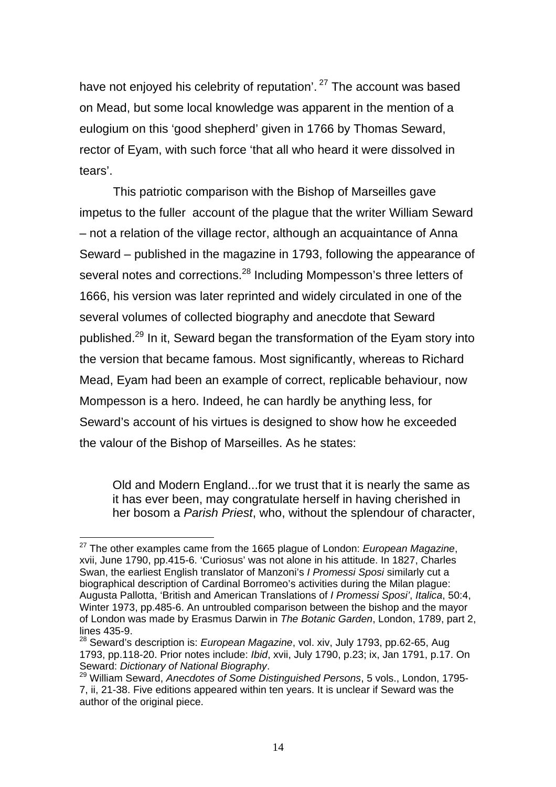have not enjoyed his celebrity of reputation'. <sup>27</sup> The account was based on Mead, but some local knowledge was apparent in the mention of a eulogium on this 'good shepherd' given in 1766 by Thomas Seward, rector of Eyam, with such force 'that all who heard it were dissolved in tears'.

This patriotic comparison with the Bishop of Marseilles gave impetus to the fuller account of the plague that the writer William Seward – not a relation of the village rector, although an acquaintance of Anna Seward – published in the magazine in 1793, following the appearance of several notes and corrections.<sup>28</sup> Including Mompesson's three letters of 1666, his version was later reprinted and widely circulated in one of the several volumes of collected biography and anecdote that Seward published.<sup>29</sup> In it, Seward began the transformation of the Eyam story into the version that became famous. Most significantly, whereas to Richard Mead, Eyam had been an example of correct, replicable behaviour, now Mompesson is a hero. Indeed, he can hardly be anything less, for Seward's account of his virtues is designed to show how he exceeded the valour of the Bishop of Marseilles. As he states:

Old and Modern England...for we trust that it is nearly the same as it has ever been, may congratulate herself in having cherished in her bosom a *Parish Priest*, who, without the splendour of character,

<span id="page-15-0"></span><sup>27</sup> The other examples came from the 1665 plague of London: *European Magazine*, xvii, June 1790, pp.415-6. 'Curiosus' was not alone in his attitude. In 1827, Charles Swan, the earliest English translator of Manzoni's *I Promessi Sposi* similarly cut a biographical description of Cardinal Borromeo's activities during the Milan plague: Augusta Pallotta, 'British and American Translations of *I Promessi Sposi'*, *Italica*, 50:4, Winter 1973, pp.485-6. An untroubled comparison between the bishop and the mayor of London was made by Erasmus Darwin in *The Botanic Garden*, London, 1789, part 2, lines 435-9.

<span id="page-15-1"></span><sup>28</sup> Seward's description is: *European Magazine*, vol. xiv, July 1793, pp.62-65, Aug 1793, pp.118-20. Prior notes include: *Ibid*, xvii, July 1790, p.23; ix, Jan 1791, p.17. On Seward: *Dictionary of National Biography.*<br><sup>29</sup> William Seward, *Anecdotes of Some Distinguished Persons*, 5 vols., London, 1795-

<span id="page-15-2"></span><sup>7,</sup> ii, 21-38. Five editions appeared within ten years. It is unclear if Seward was the author of the original piece.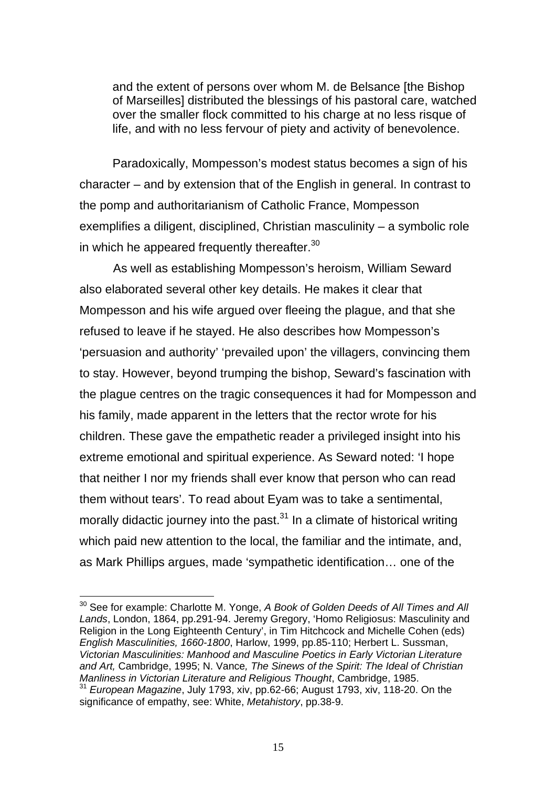and the extent of persons over whom M. de Belsance [the Bishop of Marseilles] distributed the blessings of his pastoral care, watched over the smaller flock committed to his charge at no less risque of life, and with no less fervour of piety and activity of benevolence.

Paradoxically, Mompesson's modest status becomes a sign of his character – and by extension that of the English in general. In contrast to the pomp and authoritarianism of Catholic France, Mompesson exemplifies a diligent, disciplined, Christian masculinity – a symbolic role in which he appeared frequently thereafter.<sup>30</sup>

As well as establishing Mompesson's heroism, William Seward also elaborated several other key details. He makes it clear that Mompesson and his wife argued over fleeing the plague, and that she refused to leave if he stayed. He also describes how Mompesson's 'persuasion and authority' 'prevailed upon' the villagers, convincing them to stay. However, beyond trumping the bishop, Seward's fascination with the plague centres on the tragic consequences it had for Mompesson and his family, made apparent in the letters that the rector wrote for his children. These gave the empathetic reader a privileged insight into his extreme emotional and spiritual experience. As Seward noted: 'I hope that neither I nor my friends shall ever know that person who can read them without tears'. To read about Eyam was to take a sentimental, morally didactic journey into the past. $31$  In a climate of historical writing which paid new attention to the local, the familiar and the intimate, and, as Mark Phillips argues, made 'sympathetic identification… one of the

<span id="page-16-1"></span><span id="page-16-0"></span><sup>30</sup> See for example: Charlotte M. Yonge, *A Book of Golden Deeds of All Times and All Lands*, London, 1864, pp.291-94. Jeremy Gregory, 'Homo Religiosus: Masculinity and Religion in the Long Eighteenth Century', in Tim Hitchcock and Michelle Cohen (eds) *English Masculinities, 1660-1800*, Harlow, 1999, pp.85-110; Herbert L. Sussman, *Victorian Masculinities: Manhood and Masculine Poetics in Early Victorian Literature and Art,* Cambridge, 1995; N. Vance*, The Sinews of the Spirit: The Ideal of Christian Manliness in Victorian Literature and Religious Thought*, Cambridge, 1985. <sup>31</sup> *European Magazine*, July 1793, xiv, pp.62-66; August 1793, xiv, 118-20. On the significance of empathy, see: White, *Metahistory*, pp.38-9.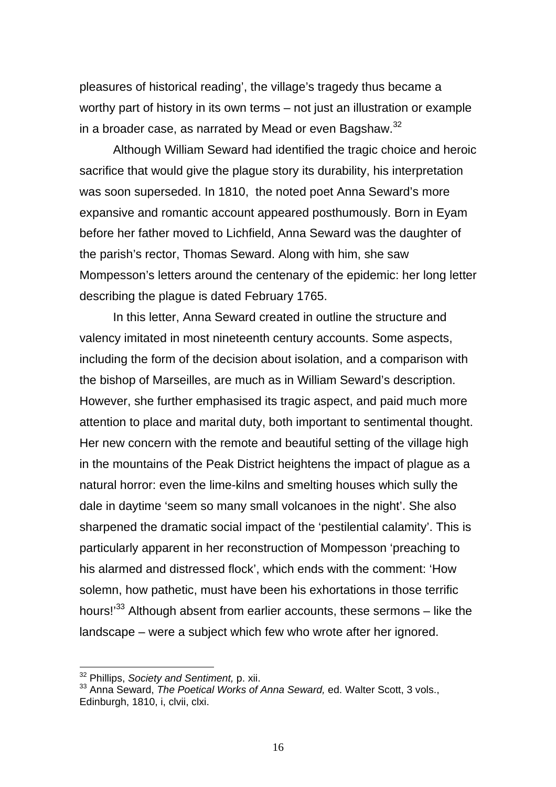pleasures of historical reading', the village's tragedy thus became a worthy part of history in its own terms – not just an illustration or example in a broader case, as narrated by Mead or even Bagshaw.<sup>[32](#page-17-0)</sup>

Although William Seward had identified the tragic choice and heroic sacrifice that would give the plague story its durability, his interpretation was soon superseded. In 1810, the noted poet Anna Seward's more expansive and romantic account appeared posthumously. Born in Eyam before her father moved to Lichfield, Anna Seward was the daughter of the parish's rector, Thomas Seward. Along with him, she saw Mompesson's letters around the centenary of the epidemic: her long letter describing the plague is dated February 1765.

In this letter, Anna Seward created in outline the structure and valency imitated in most nineteenth century accounts. Some aspects, including the form of the decision about isolation, and a comparison with the bishop of Marseilles, are much as in William Seward's description. However, she further emphasised its tragic aspect, and paid much more attention to place and marital duty, both important to sentimental thought. Her new concern with the remote and beautiful setting of the village high in the mountains of the Peak District heightens the impact of plague as a natural horror: even the lime-kilns and smelting houses which sully the dale in daytime 'seem so many small volcanoes in the night'. She also sharpened the dramatic social impact of the 'pestilential calamity'. This is particularly apparent in her reconstruction of Mompesson 'preaching to his alarmed and distressed flock', which ends with the comment: 'How solemn, how pathetic, must have been his exhortations in those terrific hours!<sup>33</sup> Although absent from earlier accounts, these sermons – like the landscape – were a subject which few who wrote after her ignored.

<span id="page-17-0"></span><sup>32</sup> Phillips, *Society and Sentiment,* p. xii.

<span id="page-17-1"></span><sup>33</sup> Anna Seward, *The Poetical Works of Anna Seward,* ed. Walter Scott, 3 vols., Edinburgh, 1810, i, clvii, clxi.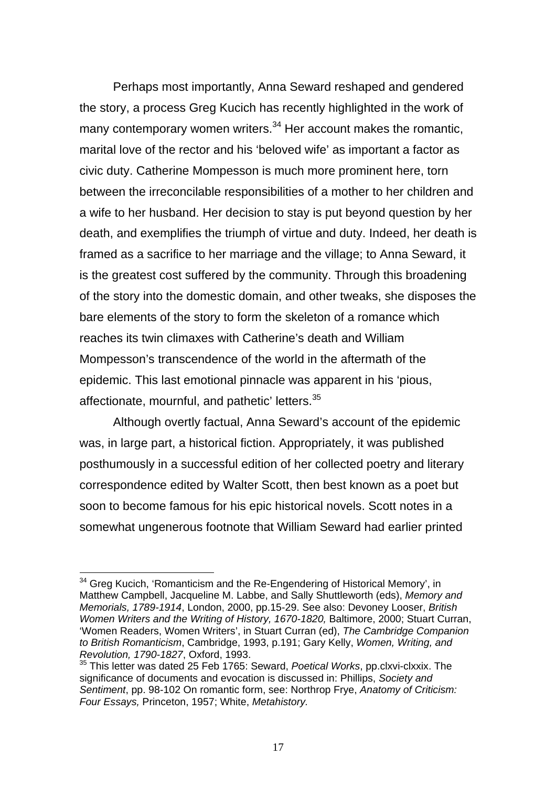Perhaps most importantly, Anna Seward reshaped and gendered the story, a process Greg Kucich has recently highlighted in the work of many contemporary women writers. $34$  Her account makes the romantic, marital love of the rector and his 'beloved wife' as important a factor as civic duty. Catherine Mompesson is much more prominent here, torn between the irreconcilable responsibilities of a mother to her children and a wife to her husband. Her decision to stay is put beyond question by her death, and exemplifies the triumph of virtue and duty. Indeed, her death is framed as a sacrifice to her marriage and the village; to Anna Seward, it is the greatest cost suffered by the community. Through this broadening of the story into the domestic domain, and other tweaks, she disposes the bare elements of the story to form the skeleton of a romance which reaches its twin climaxes with Catherine's death and William Mompesson's transcendence of the world in the aftermath of the epidemic. This last emotional pinnacle was apparent in his 'pious, affectionate, mournful, and pathetic' letters.<sup>[35](#page-18-1)</sup>

Although overtly factual, Anna Seward's account of the epidemic was, in large part, a historical fiction. Appropriately, it was published posthumously in a successful edition of her collected poetry and literary correspondence edited by Walter Scott, then best known as a poet but soon to become famous for his epic historical novels. Scott notes in a somewhat ungenerous footnote that William Seward had earlier printed

<span id="page-18-0"></span><sup>&</sup>lt;sup>34</sup> Greg Kucich, 'Romanticism and the Re-Engendering of Historical Memory', in Matthew Campbell, Jacqueline M. Labbe, and Sally Shuttleworth (eds), *Memory and Memorials, 1789-1914*, London, 2000, pp.15-29. See also: Devoney Looser, *British Women Writers and the Writing of History, 1670-1820,* Baltimore, 2000; Stuart Curran, 'Women Readers, Women Writers', in Stuart Curran (ed), *The Cambridge Companion to British Romanticism*, Cambridge, 1993, p.191; Gary Kelly, *Women, Writing, and Revolution, 1790-1827*, Oxford, 1993.

<span id="page-18-1"></span><sup>35</sup> This letter was dated 25 Feb 1765: Seward, *Poetical Works*, pp.clxvi-clxxix. The significance of documents and evocation is discussed in: Phillips, *Society and Sentiment*, pp. 98-102 On romantic form, see: Northrop Frye, *Anatomy of Criticism: Four Essays,* Princeton, 1957; White, *Metahistory.*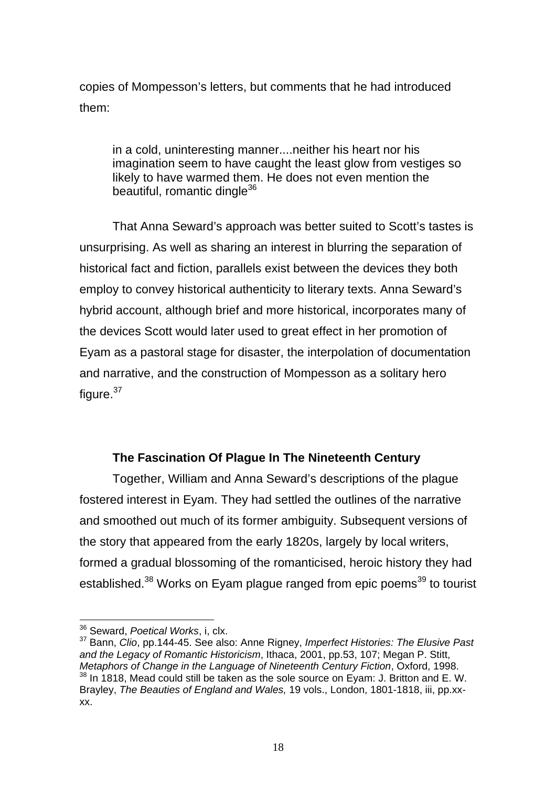copies of Mompesson's letters, but comments that he had introduced them:

in a cold, uninteresting manner....neither his heart nor his imagination seem to have caught the least glow from vestiges so likely to have warmed them. He does not even mention the beautiful, romantic dingle<sup>[36](#page-19-0)</sup>

That Anna Seward's approach was better suited to Scott's tastes is unsurprising. As well as sharing an interest in blurring the separation of historical fact and fiction, parallels exist between the devices they both employ to convey historical authenticity to literary texts. Anna Seward's hybrid account, although brief and more historical, incorporates many of the devices Scott would later used to great effect in her promotion of Eyam as a pastoral stage for disaster, the interpolation of documentation and narrative, and the construction of Mompesson as a solitary hero figure. $37$ 

# **The Fascination Of Plague In The Nineteenth Century**

<span id="page-19-3"></span>Together, William and Anna Seward's descriptions of the plague fostered interest in Eyam. They had settled the outlines of the narrative and smoothed out much of its former ambiguity. Subsequent versions of the story that appeared from the early 1820s, largely by local writers, formed a gradual blossoming of the romanticised, heroic history they had established.<sup>38</sup> Works on Eyam plague ranged from epic poems<sup>39</sup> to tourist

<span id="page-19-0"></span><sup>36</sup> Seward, *Poetical Works*, i, clx.

<span id="page-19-2"></span><span id="page-19-1"></span><sup>37</sup> Bann, *Clio*, pp.144-45. See also: Anne Rigney, *Imperfect Histories: The Elusive Past and the Legacy of Romantic Historicism*, Ithaca, 2001, pp.53, 107; Megan P. Stitt, *Metaphors of Change in the Language of Nineteenth Century Fiction*, Oxford, 1998.  $38$  In 1818, Mead could still be taken as the sole source on Eyam: J. Britton and E. W. Brayley, *The Beauties of England and Wales,* 19 vols., London, 1801-1818, iii, pp.xxxx.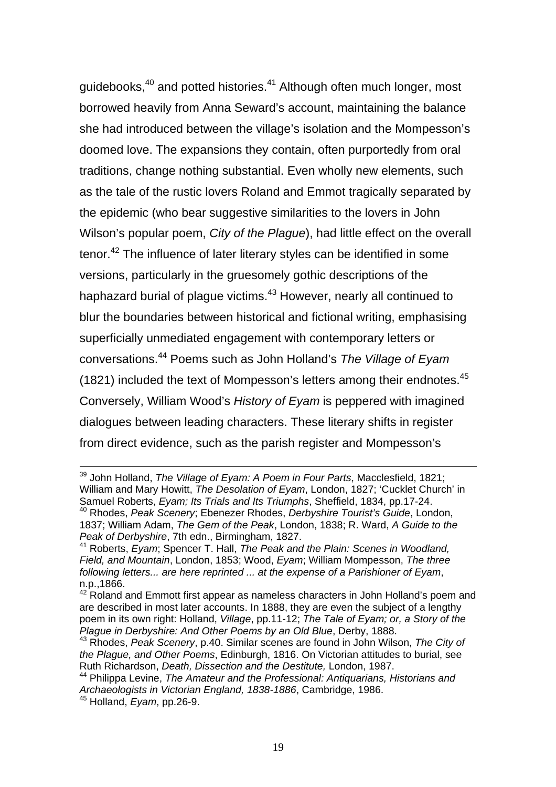guidebooks,<sup>40</sup> and potted histories.<sup>41</sup> Although often much longer, most borrowed heavily from Anna Seward's account, maintaining the balance she had introduced between the village's isolation and the Mompesson's doomed love. The expansions they contain, often purportedly from oral traditions, change nothing substantial. Even wholly new elements, such as the tale of the rustic lovers Roland and Emmot tragically separated by the epidemic (who bear suggestive similarities to the lovers in John Wilson's popular poem, *City of the Plague*), had little effect on the overall tenor.<sup>42</sup> The influence of later literary styles can be identified in some versions, particularly in the gruesomely gothic descriptions of the haphazard burial of plague victims.<sup>43</sup> However, nearly all continued to blur the boundaries between historical and fictional writing, emphasising superficially unmediated engagement with contemporary letters or conversations[.44](#page-20-4) Poems such as John Holland's *The Village of Eyam* (1821) included the text of Mompesson's letters among their endnotes.<sup>[45](#page-20-5)</sup> Conversely, William Wood's *History of Eyam* is peppered with imagined dialogues between leading characters. These literary shifts in register from direct evidence, such as the parish register and Mompesson's

39 John Holland, *The Village of Eyam: A Poem in Four Parts*, Macclesfield, 1821; William and Mary Howitt, *The Desolation of Eyam*, London, 1827; 'Cucklet Church' in Samuel Roberts, *Eyam; Its Trials and Its Triumphs*, Sheffield, 1834, pp.17-24. 40 Rhodes, *Peak Scenery*; Ebenezer Rhodes, *Derbyshire Tourist's Guide*, London, 1837; William Adam, *The Gem of the Peak*, London, 1838; R. Ward, *A Guide to the Peak of Derbyshire*, 7th edn., Birmingham, 1827.

<span id="page-20-1"></span><span id="page-20-0"></span><sup>41</sup> Roberts, *Eyam*; Spencer T. Hall, *The Peak and the Plain: Scenes in Woodland, Field, and Mountain*, London, 1853; Wood, *Eyam*; William Mompesson, *The three following letters... are here reprinted ... at the expense of a Parishioner of Eyam*, n.p.,1866.

<span id="page-20-2"></span> $42$  Roland and Emmott first appear as nameless characters in John Holland's poem and are described in most later accounts. In 1888, they are even the subject of a lengthy poem in its own right: Holland, *Village*, pp.11-12; *The Tale of Eyam; or, a Story of the Plague in Derbyshire: And Other Poems by an Old Blue*, Derby, 1888.

<span id="page-20-3"></span><sup>43</sup> Rhodes, *Peak Scenery*, p.40. Similar scenes are found in John Wilson, *The City of the Plague, and Other Poems*, Edinburgh, 1816. On Victorian attitudes to burial, see Ruth Richardson, *Death, Dissection and the Destitute,* London, 1987.

<span id="page-20-5"></span><span id="page-20-4"></span><sup>44</sup> Philippa Levine, *The Amateur and the Professional: Antiquarians, Historians and Archaeologists in Victorian England, 1838-1886*, Cambridge, 1986. 45 Holland, *Eyam*, pp.26-9.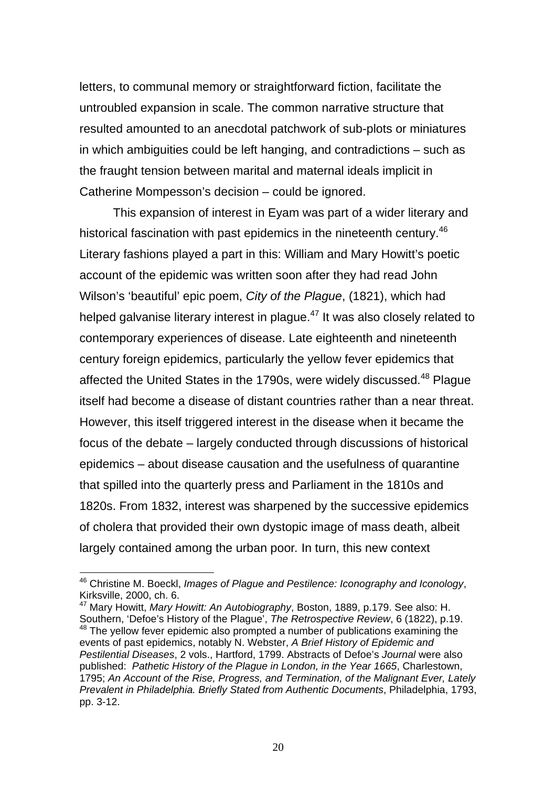letters, to communal memory or straightforward fiction, facilitate the untroubled expansion in scale. The common narrative structure that resulted amounted to an anecdotal patchwork of sub-plots or miniatures in which ambiguities could be left hanging, and contradictions – such as the fraught tension between marital and maternal ideals implicit in Catherine Mompesson's decision – could be ignored.

This expansion of interest in Eyam was part of a wider literary and historical fascination with past epidemics in the nineteenth century.<sup>[46](#page-21-0)</sup> Literary fashions played a part in this: William and Mary Howitt's poetic account of the epidemic was written soon after they had read John Wilson's 'beautiful' epic poem, *City of the Plague*, (1821), which had helped galvanise literary interest in plague.<sup>47</sup> It was also closely related to contemporary experiences of disease. Late eighteenth and nineteenth century foreign epidemics, particularly the yellow fever epidemics that affected the United States in the 1790s, were widely discussed.<sup>48</sup> Plague itself had become a disease of distant countries rather than a near threat. However, this itself triggered interest in the disease when it became the focus of the debate – largely conducted through discussions of historical epidemics – about disease causation and the usefulness of quarantine that spilled into the quarterly press and Parliament in the 1810s and 1820s. From 1832, interest was sharpened by the successive epidemics of cholera that provided their own dystopic image of mass death, albeit largely contained among the urban poor*.* In turn, this new context

<span id="page-21-0"></span><sup>46</sup> Christine M. Boeckl, *Images of Plague and Pestilence: Iconography and Iconology*, Kirksville, 2000, ch. 6.

<span id="page-21-2"></span><span id="page-21-1"></span><sup>47</sup> Mary Howitt, *Mary Howitt: An Autobiography*, Boston, 1889, p.179. See also: H. Southern, 'Defoe's History of the Plague', *The Retrospective Review*, 6 (1822), p.19. <sup>48</sup> The yellow fever epidemic also prompted a number of publications examining the events of past epidemics, notably N. Webster, *A Brief History of Epidemic and Pestilential Diseases*, 2 vols., Hartford, 1799. Abstracts of Defoe's *Journal* were also published: *Pathetic History of the Plague in London, in the Year 1665*, Charlestown, 1795; *An Account of the Rise, Progress, and Termination, of the Malignant Ever, Lately Prevalent in Philadelphia. Briefly Stated from Authentic Documents*, Philadelphia, 1793, pp. 3-12.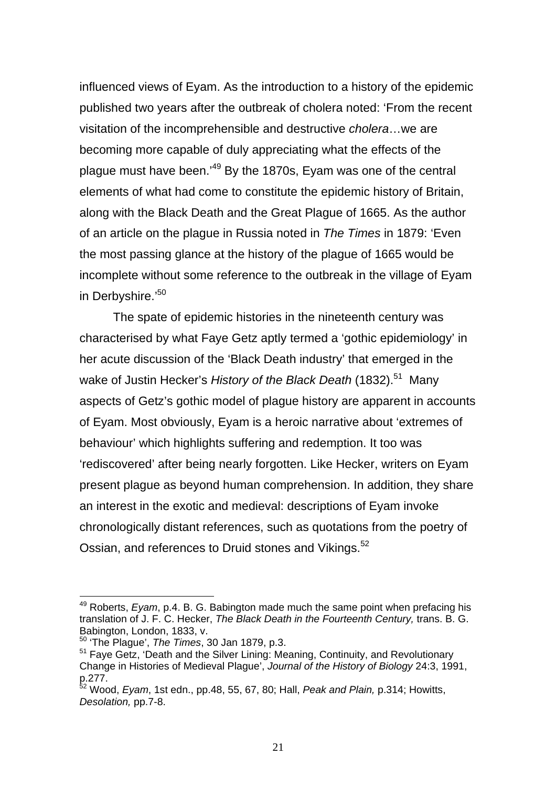influenced views of Eyam. As the introduction to a history of the epidemic published two years after the outbreak of cholera noted: 'From the recent visitation of the incomprehensible and destructive *cholera*…we are becoming more capable of duly appreciating what the effects of the plague must have been.'[49](#page-22-0) By the 1870s, Eyam was one of the central elements of what had come to constitute the epidemic history of Britain, along with the Black Death and the Great Plague of 1665. As the author of an article on the plague in Russia noted in *The Times* in 1879: 'Even the most passing glance at the history of the plague of 1665 would be incomplete without some reference to the outbreak in the village of Eyam in Derbyshire.'<sup>[50](#page-22-1)</sup>

The spate of epidemic histories in the nineteenth century was characterised by what Faye Getz aptly termed a 'gothic epidemiology' in her acute discussion of the 'Black Death industry' that emerged in the wake of Justin Hecker's *History of the Black Death* (1832).<sup>51</sup> Many aspects of Getz's gothic model of plague history are apparent in accounts of Eyam. Most obviously, Eyam is a heroic narrative about 'extremes of behaviour' which highlights suffering and redemption. It too was 'rediscovered' after being nearly forgotten. Like Hecker, writers on Eyam present plague as beyond human comprehension. In addition, they share an interest in the exotic and medieval: descriptions of Eyam invoke chronologically distant references, such as quotations from the poetry of Ossian, and references to Druid stones and Vikings.<sup>52</sup>

<span id="page-22-0"></span><sup>49</sup> Roberts, *Eyam*, p.4. B. G. Babington made much the same point when prefacing his translation of J. F. C. Hecker, *The Black Death in the Fourteenth Century,* trans. B. G. Babington, London, 1833, v.

<span id="page-22-1"></span><sup>50 &#</sup>x27;The Plague', *The Times*, 30 Jan 1879, p.3.

<span id="page-22-2"></span><sup>51</sup> Faye Getz, 'Death and the Silver Lining: Meaning, Continuity, and Revolutionary Change in Histories of Medieval Plague', *Journal of the History of Biology* 24:3, 1991, p.277.

<span id="page-22-3"></span><sup>52</sup> Wood, *Eyam*, 1st edn., pp.48, 55, 67, 80; Hall, *Peak and Plain,* p.314; Howitts, *Desolation,* pp.7-8.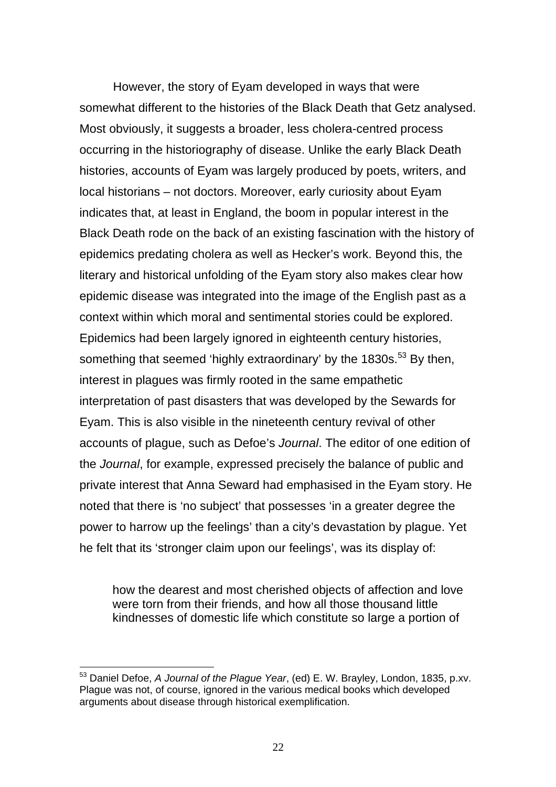However, the story of Eyam developed in ways that were somewhat different to the histories of the Black Death that Getz analysed. Most obviously, it suggests a broader, less cholera-centred process occurring in the historiography of disease. Unlike the early Black Death histories, accounts of Evam was largely produced by poets, writers, and local historians – not doctors. Moreover, early curiosity about Eyam indicates that, at least in England, the boom in popular interest in the Black Death rode on the back of an existing fascination with the history of epidemics predating cholera as well as Hecker's work. Beyond this, the literary and historical unfolding of the Eyam story also makes clear how epidemic disease was integrated into the image of the English past as a context within which moral and sentimental stories could be explored. Epidemics had been largely ignored in eighteenth century histories, something that seemed 'highly extraordinary' by the 1830s.<sup>53</sup> By then, interest in plagues was firmly rooted in the same empathetic interpretation of past disasters that was developed by the Sewards for Eyam. This is also visible in the nineteenth century revival of other accounts of plague, such as Defoe's *Journal*. The editor of one edition of the *Journal*, for example, expressed precisely the balance of public and private interest that Anna Seward had emphasised in the Eyam story. He noted that there is 'no subject' that possesses 'in a greater degree the power to harrow up the feelings' than a city's devastation by plague. Yet he felt that its 'stronger claim upon our feelings', was its display of:

how the dearest and most cherished objects of affection and love were torn from their friends, and how all those thousand little kindnesses of domestic life which constitute so large a portion of

<span id="page-23-0"></span><sup>53</sup> Daniel Defoe, *A Journal of the Plague Year*, (ed) E. W. Brayley, London, 1835, p.xv. Plague was not, of course, ignored in the various medical books which developed arguments about disease through historical exemplification.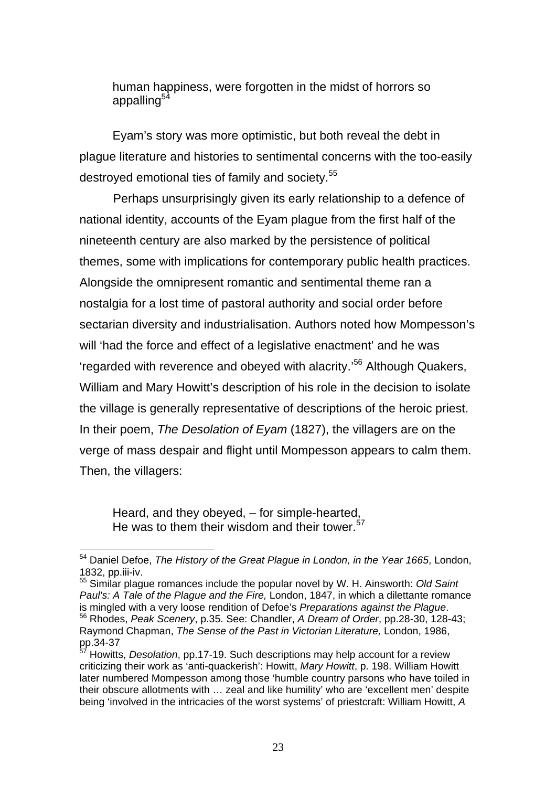<span id="page-24-3"></span>human happiness, were forgotten in the midst of horrors so appalling $5$ 

Eyam's story was more optimistic, but both reveal the debt in plague literature and histories to sentimental concerns with the too-easily destroyed emotional ties of family and society.<sup>55</sup>

Perhaps unsurprisingly given its early relationship to a defence of national identity, accounts of the Eyam plague from the first half of the nineteenth century are also marked by the persistence of political themes, some with implications for contemporary public health practices. Alongside the omnipresent romantic and sentimental theme ran a nostalgia for a lost time of pastoral authority and social order before sectarian diversity and industrialisation. Authors noted how Mompesson's will 'had the force and effect of a legislative enactment' and he was 'regarded with reverence and obeyed with alacrity.'[56](#page-24-2) Although Quakers, William and Mary Howitt's description of his role in the decision to isolate the village is generally representative of descriptions of the heroic priest. In their poem, *The Desolation of Eyam* (1827), the villagers are on the verge of mass despair and flight until Mompesson appears to calm them. Then, the villagers:

Heard, and they obeyed, – for simple-hearted, He was to them their wisdom and their tower.  $57$ 

<span id="page-24-2"></span><span id="page-24-1"></span>55 Similar plague romances include the popular novel by W. H. Ainsworth: *Old Saint Paul's: A Tale of the Plague and the Fire, London, 1847, in which a dilettante romance* is mingled with a very loose rendition of Defoe's *Preparations against the Plague.* <sup>56</sup> Rhodes, *Peak Scenery*, p.35. See: Chandler, *A Dream of Order*, pp.28-30, 128-43; Raymond Chapman, *The Sense of the Past in Victorian Literature,* London, 1986,  $pp.34-37$ 

<span id="page-24-0"></span> $\overline{a}$ 54 Daniel Defoe, *The History of the Great Plague in London, in the Year 1665*, London, 1832, pp.iii-iv.

<sup>57</sup> Howitts, *Desolation*, pp.17-19. Such descriptions may help account for a review criticizing their work as 'anti-quackerish': Howitt, *Mary Howitt*, p. 198. William Howitt later numbered Mompesson among those 'humble country parsons who have toiled in their obscure allotments with … zeal and like humility' who are 'excellent men' despite being 'involved in the intricacies of the worst systems' of priestcraft: William Howitt, *A*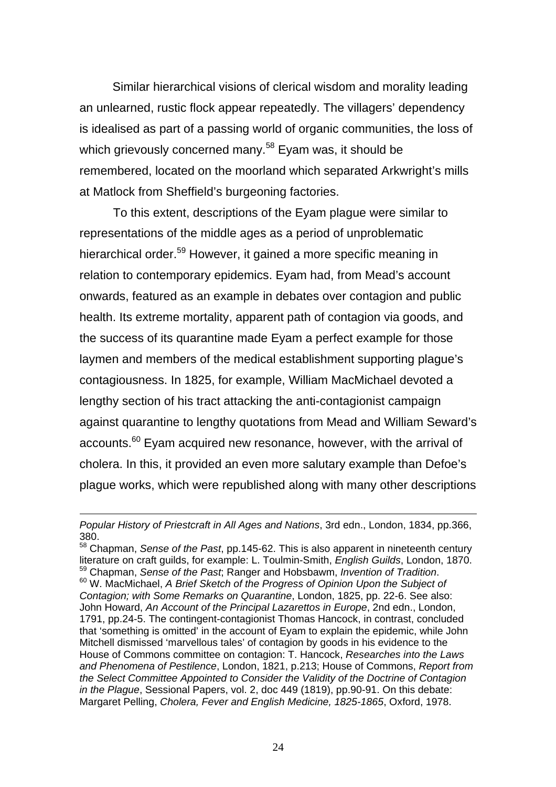Similar hierarchical visions of clerical wisdom and morality leading an unlearned, rustic flock appear repeatedly. The villagers' dependency is idealised as part of a passing world of organic communities, the loss of which grievously concerned many.<sup>58</sup> Eyam was, it should be remembered, located on the moorland which separated Arkwright's mills at Matlock from Sheffield's burgeoning factories.

To this extent, descriptions of the Eyam plague were similar to representations of the middle ages as a period of unproblematic hierarchical order.<sup>59</sup> However, it gained a more specific meaning in relation to contemporary epidemics. Eyam had, from Mead's account onwards, featured as an example in debates over contagion and public health. Its extreme mortality, apparent path of contagion via goods, and the success of its quarantine made Eyam a perfect example for those laymen and members of the medical establishment supporting plague's contagiousness. In 1825, for example, William MacMichael devoted a lengthy section of his tract attacking the anti-contagionist campaign against quarantine to lengthy quotations from Mead and William Seward's accounts.<sup>60</sup> Evam acquired new resonance, however, with the arrival of cholera. In this, it provided an even more salutary example than Defoe's plague works, which were republished along with many other descriptions

1

*Popular History of Priestcraft in All Ages and Nations*, 3rd edn., London, 1834, pp.366, 380.

<span id="page-25-2"></span><span id="page-25-1"></span><span id="page-25-0"></span><sup>58</sup> Chapman, *Sense of the Past*, pp.145-62. This is also apparent in nineteenth century literature on craft guilds, for example: L. Toulmin-Smith, *English Guilds*, London, 1870. 59 Chapman, *Sense of the Past*; Ranger and Hobsbawm, *Invention of Tradition*. 60 W. MacMichael, *A Brief Sketch of the Progress of Opinion Upon the Subject of Contagion; with Some Remarks on Quarantine*, London, 1825, pp. 22-6. See also: John Howard, *An Account of the Principal Lazarettos in Europe*, 2nd edn., London, 1791, pp.24-5. The contingent-contagionist Thomas Hancock, in contrast, concluded that 'something is omitted' in the account of Eyam to explain the epidemic, while John Mitchell dismissed 'marvellous tales' of contagion by goods in his evidence to the House of Commons committee on contagion: T. Hancock, *Researches into the Laws and Phenomena of Pestilence*, London, 1821, p.213; House of Commons, *Report from the Select Committee Appointed to Consider the Validity of the Doctrine of Contagion in the Plague*, Sessional Papers, vol. 2, doc 449 (1819), pp.90-91. On this debate: Margaret Pelling, *Cholera, Fever and English Medicine, 1825-1865*, Oxford, 1978.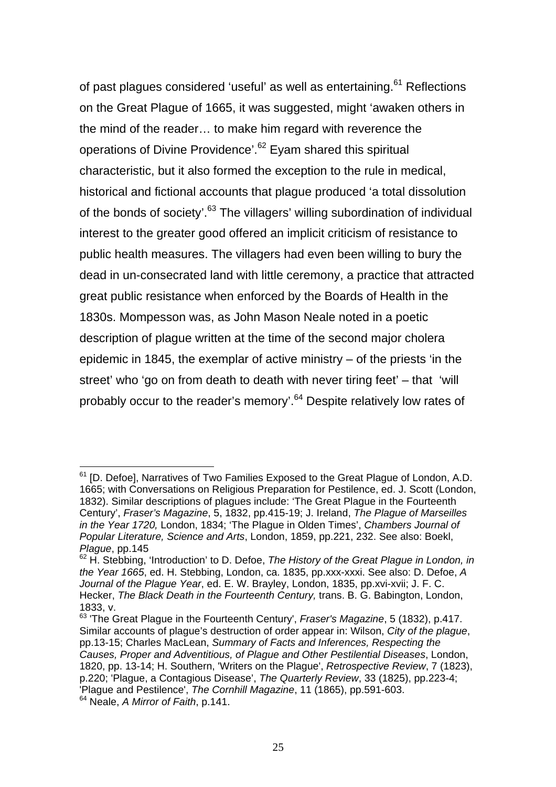of past plagues considered 'useful' as well as entertaining.<sup>61</sup> Reflections on the Great Plague of 1665, it was suggested, might 'awaken others in the mind of the reader… to make him regard with reverence the operations of Divine Providence<sup>'.62</sup> Eyam shared this spiritual characteristic, but it also formed the exception to the rule in medical, historical and fictional accounts that plague produced 'a total dissolution of the bonds of society'.<sup>63</sup> The villagers' willing subordination of individual interest to the greater good offered an implicit criticism of resistance to public health measures. The villagers had even been willing to bury the dead in un-consecrated land with little ceremony, a practice that attracted great public resistance when enforced by the Boards of Health in the 1830s. Mompesson was, as John Mason Neale noted in a poetic description of plague written at the time of the second major cholera epidemic in 1845, the exemplar of active ministry – of the priests 'in the street' who 'go on from death to death with never tiring feet' – that 'will probably occur to the reader's memory'.<sup>64</sup> Despite relatively low rates of

<span id="page-26-0"></span> $\overline{a}$  $61$  [D. Defoe], Narratives of Two Families Exposed to the Great Plague of London, A.D. 1665; with Conversations on Religious Preparation for Pestilence, ed. J. Scott (London, 1832). Similar descriptions of plagues include: 'The Great Plague in the Fourteenth Century', *Fraser's Magazine*, 5, 1832, pp.415-19; J. Ireland, *The Plague of Marseilles in the Year 1720,* London, 1834; 'The Plague in Olden Times', *Chambers Journal of Popular Literature, Science and Arts*, London, 1859, pp.221, 232. See also: Boekl, *Plague*, pp.145

<span id="page-26-1"></span><sup>&</sup>lt;sup>62</sup> H. Stebbing, 'Introduction' to D. Defoe, The History of the Great Plague in London, in *the Year 1665*, ed. H. Stebbing, London, ca. 1835, pp.xxx-xxxi. See also: D. Defoe, *A Journal of the Plague Year*, ed. E. W. Brayley, London, 1835, pp.xvi-xvii; J. F. C. Hecker, *The Black Death in the Fourteenth Century,* trans. B. G. Babington, London, 1833, v.

<span id="page-26-3"></span><span id="page-26-2"></span><sup>63 &#</sup>x27;The Great Plague in the Fourteenth Century', *Fraser's Magazine*, 5 (1832), p.417. Similar accounts of plague's destruction of order appear in: Wilson, *City of the plague*, pp.13-15; Charles MacLean, *Summary of Facts and Inferences, Respecting the Causes, Proper and Adventitious, of Plague and Other Pestilential Diseases*, London, 1820, pp. 13-14; H. Southern, 'Writers on the Plague', *Retrospective Review*, 7 (1823), p.220; 'Plague, a Contagious Disease', *The Quarterly Review*, 33 (1825), pp.223-4; 'Plague and Pestilence', *The Cornhill Magazine*, 11 (1865), pp.591-603. 64 Neale, *A Mirror of Faith*, p.141.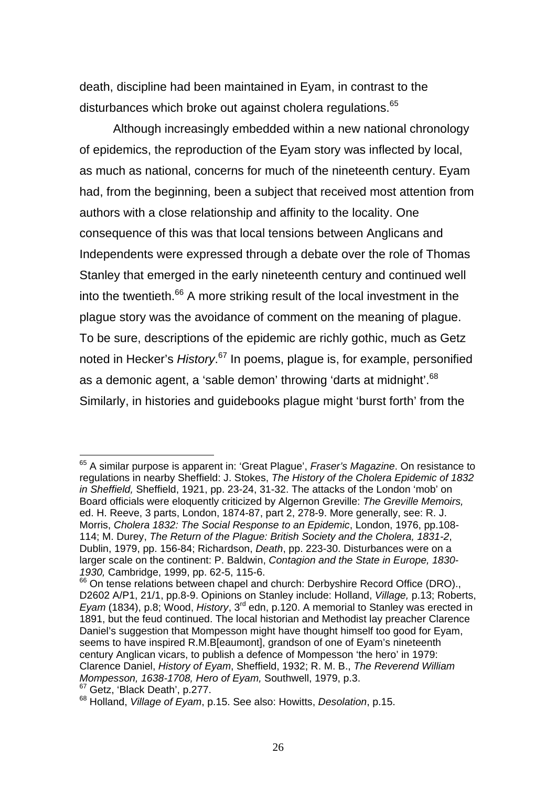death, discipline had been maintained in Eyam, in contrast to the disturbances which broke out against cholera regulations.<sup>[65](#page-27-0)</sup>

Although increasingly embedded within a new national chronology of epidemics, the reproduction of the Eyam story was inflected by local, as much as national, concerns for much of the nineteenth century. Eyam had, from the beginning, been a subject that received most attention from authors with a close relationship and affinity to the locality. One consequence of this was that local tensions between Anglicans and Independents were expressed through a debate over the role of Thomas Stanley that emerged in the early nineteenth century and continued well into the twentieth. $66$  A more striking result of the local investment in the plague story was the avoidance of comment on the meaning of plague. To be sure, descriptions of the epidemic are richly gothic, much as Getz noted in Hecker's *History*. [67](#page-27-2) In poems, plague is, for example, personified as a demonic agent, a 'sable demon' throwing 'darts at midnight'.<sup>[68](#page-27-3)</sup> Similarly, in histories and guidebooks plague might 'burst forth' from the

<span id="page-27-0"></span><sup>65</sup> A similar purpose is apparent in: 'Great Plague', *Fraser's Magazine*. On resistance to regulations in nearby Sheffield: J. Stokes, *The History of the Cholera Epidemic of 1832 in Sheffield,* Sheffield, 1921, pp. 23-24, 31-32. The attacks of the London 'mob' on Board officials were eloquently criticized by Algernon Greville: *The Greville Memoirs,* ed. H. Reeve, 3 parts, London, 1874-87, part 2, 278-9. More generally, see: R. J. Morris, *Cholera 1832: The Social Response to an Epidemic*, London, 1976, pp.108- 114; M. Durey, *The Return of the Plague: British Society and the Cholera, 1831-2*, Dublin, 1979, pp. 156-84; Richardson, *Death*, pp. 223-30. Disturbances were on a larger scale on the continent: P. Baldwin, *Contagion and the State in Europe, 1830- 1930,* Cambridge, 1999, pp. 62-5, 115-6.

<span id="page-27-1"></span><sup>&</sup>lt;sup>66</sup> On tense relations between chapel and church: Derbyshire Record Office (DRO)., D2602 A/P1, 21/1, pp.8-9. Opinions on Stanley include: Holland, *Village,* p.13; Roberts, *Eyam* (1834), p.8; Wood, *History*, 3<sup>rd</sup> edn, p.120. A memorial to Stanley was erected in 1891, but the feud continued. The local historian and Methodist lay preacher Clarence Daniel's suggestion that Mompesson might have thought himself too good for Eyam, seems to have inspired R.M.B[eaumont], grandson of one of Eyam's nineteenth century Anglican vicars, to publish a defence of Mompesson 'the hero' in 1979: Clarence Daniel, *History of Eyam*, Sheffield, 1932; R. M. B., *The Reverend William Mompesson, 1638-1708, Hero of Eyam,* Southwell, 1979, p.3. <sup>67</sup> Getz. 'Black Death', p.277.

<span id="page-27-3"></span><span id="page-27-2"></span><sup>68</sup> Holland, *Village of Eyam*, p.15. See also: Howitts, *Desolation*, p.15.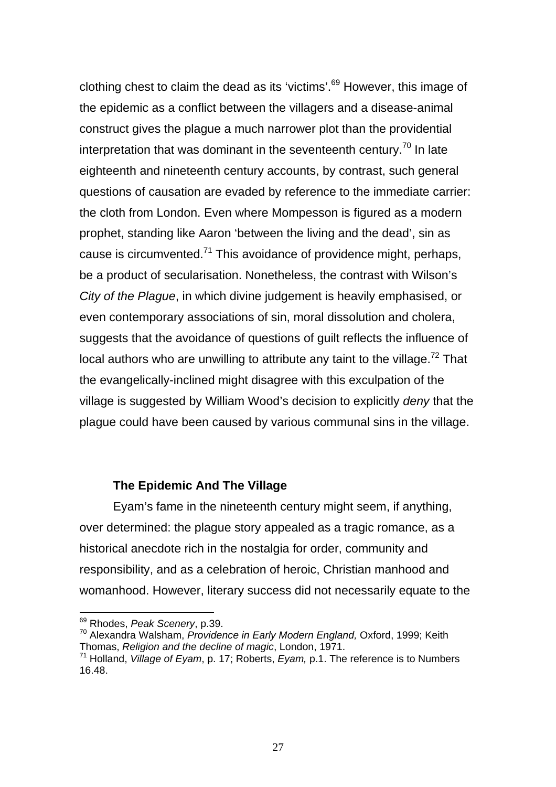clothing chest to claim the dead as its 'victims'.[69](#page-28-0) However, this image of the epidemic as a conflict between the villagers and a disease-animal construct gives the plague a much narrower plot than the providential interpretation that was dominant in the seventeenth century.<sup>70</sup> In late eighteenth and nineteenth century accounts, by contrast, such general questions of causation are evaded by reference to the immediate carrier: the cloth from London. Even where Mompesson is figured as a modern prophet, standing like Aaron 'between the living and the dead', sin as cause is circumvented. $71$  This avoidance of providence might, perhaps, be a product of secularisation. Nonetheless, the contrast with Wilson's *City of the Plague*, in which divine judgement is heavily emphasised, or even contemporary associations of sin, moral dissolution and cholera, suggests that the avoidance of questions of guilt reflects the influence of local authors who are unwilling to attribute any taint to the village.<sup>72</sup> That the evangelically-inclined might disagree with this exculpation of the village is suggested by William Wood's decision to explicitly *deny* that the plague could have been caused by various communal sins in the village.

#### **The Epidemic And The Village**

Eyam's fame in the nineteenth century might seem, if anything, over determined: the plague story appealed as a tragic romance, as a historical anecdote rich in the nostalgia for order, community and responsibility, and as a celebration of heroic, Christian manhood and womanhood. However, literary success did not necessarily equate to the

<span id="page-28-3"></span><span id="page-28-0"></span><sup>69</sup> Rhodes, *Peak Scenery*, p.39.

<span id="page-28-1"></span><sup>70</sup> Alexandra Walsham, *Providence in Early Modern England,* Oxford, 1999; Keith Thomas, *Religion and the decline of magic*, London, 1971.

<span id="page-28-2"></span><sup>71</sup> Holland, *Village of Eyam*, p. 17; Roberts, *Eyam,* p.1. The reference is to Numbers 16.48.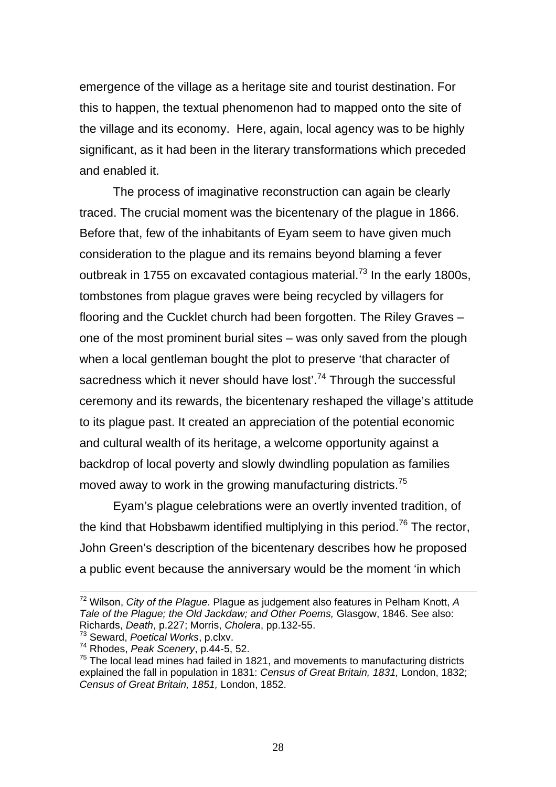emergence of the village as a heritage site and tourist destination. For this to happen, the textual phenomenon had to mapped onto the site of the village and its economy. Here, again, local agency was to be highly significant, as it had been in the literary transformations which preceded and enabled it.

The process of imaginative reconstruction can again be clearly traced. The crucial moment was the bicentenary of the plague in 1866. Before that, few of the inhabitants of Eyam seem to have given much consideration to the plague and its remains beyond blaming a fever outbreak in 1755 on excavated contagious material.<sup>73</sup> In the early 1800s, tombstones from plague graves were being recycled by villagers for flooring and the Cucklet church had been forgotten. The Riley Graves – one of the most prominent burial sites – was only saved from the plough when a local gentleman bought the plot to preserve 'that character of sacredness which it never should have lost'.<sup>74</sup> Through the successful ceremony and its rewards, the bicentenary reshaped the village's attitude to its plague past. It created an appreciation of the potential economic and cultural wealth of its heritage, a welcome opportunity against a backdrop of local poverty and slowly dwindling population as families moved away to work in the growing manufacturing districts.<sup>75</sup>

<span id="page-29-3"></span>Eyam's plague celebrations were an overtly invented tradition, of the kind that Hobsbawm identified multiplying in this period.<sup>76</sup> The rector, John Green's description of the bicentenary describes how he proposed a public event because the anniversary would be the moment 'in which

72 Wilson, *City of the Plague*. Plague as judgement also features in Pelham Knott, *<sup>A</sup> Tale of the Plague; the Old Jackdaw; and Other Poems,* Glasgow, 1846. See also: Richards, *Death*, p.227; Morris, *Cholera*, pp.132-55.

<span id="page-29-0"></span><sup>73</sup> Seward, *Poetical Works*, p.clxv.

<span id="page-29-1"></span><sup>74</sup> Rhodes, *Peak Scenery*, p.44-5, 52.

<span id="page-29-2"></span> $75$  The local lead mines had failed in 1821, and movements to manufacturing districts explained the fall in population in 1831: *Census of Great Britain, 1831,* London, 1832; *Census of Great Britain, 1851,* London, 1852.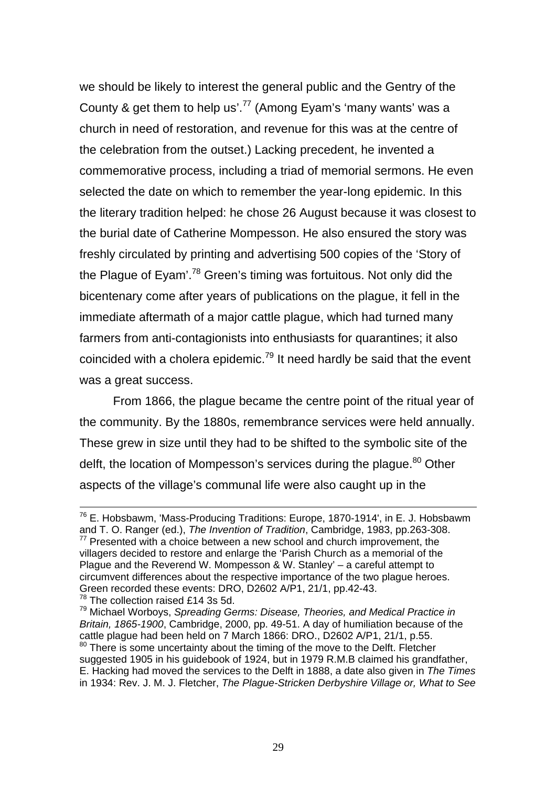<span id="page-30-3"></span>we should be likely to interest the general public and the Gentry of the County & get them to help us'.<sup>77</sup> (Among Eyam's 'many wants' was a church in need of restoration, and revenue for this was at the centre of the celebration from the outset.) Lacking precedent, he invented a commemorative process, including a triad of memorial sermons. He even selected the date on which to remember the year-long epidemic. In this the literary tradition helped: he chose 26 August because it was closest to the burial date of Catherine Mompesson. He also ensured the story was freshly circulated by printing and advertising 500 copies of the 'Story of the Plague of Eyam'.[78](#page-30-1) Green's timing was fortuitous. Not only did the bicentenary come after years of publications on the plague, it fell in the immediate aftermath of a major cattle plague, which had turned many farmers from anti-contagionists into enthusiasts for quarantines; it also coincided with a cholera epidemic.<sup>79</sup> It need hardly be said that the event was a great success.

From 1866, the plague became the centre point of the ritual year of the community. By the 1880s, remembrance services were held annually. These grew in size until they had to be shifted to the symbolic site of the delft, the location of Mompesson's services during the plague.<sup>80</sup> Other aspects of the village's communal life were also caught up in the

76 E. Hobsbawm, 'Mass-Producing Traditions: Europe, 1870-1914', in E. J. Hobsbawm and T. O. Ranger (ed.), *The Invention of Tradition*, Cambridge, 1983, pp.263-308.

<span id="page-30-0"></span> $77$  Presented with a choice between a new school and church improvement, the villagers decided to restore and enlarge the 'Parish Church as a memorial of the Plague and the Reverend W. Mompesson & W. Stanley' – a careful attempt to circumvent differences about the respective importance of the two plague heroes. Green recorded these events: DRO, D2602 A/P1, 21/1, pp.42-43.

<span id="page-30-1"></span><sup>&</sup>lt;sup>78</sup> The collection raised £14 3s 5d.

<span id="page-30-2"></span><sup>79</sup> Michael Worboys, *Spreading Germs: Disease, Theories, and Medical Practice in Britain, 1865-1900*, Cambridge, 2000, pp. 49-51. A day of humiliation because of the cattle plague had been held on 7 March 1866: DRO., D2602 A/P1, 21/1, p.55.

 $80$  There is some uncertainty about the timing of the move to the Delft. Fletcher suggested 1905 in his guidebook of 1924, but in 1979 R.M.B claimed his grandfather, E. Hacking had moved the services to the Delft in 1888, a date also given in *The Times*  in 1934: Rev. J. M. J. Fletcher, *The Plague-Stricken Derbyshire Village or, What to See*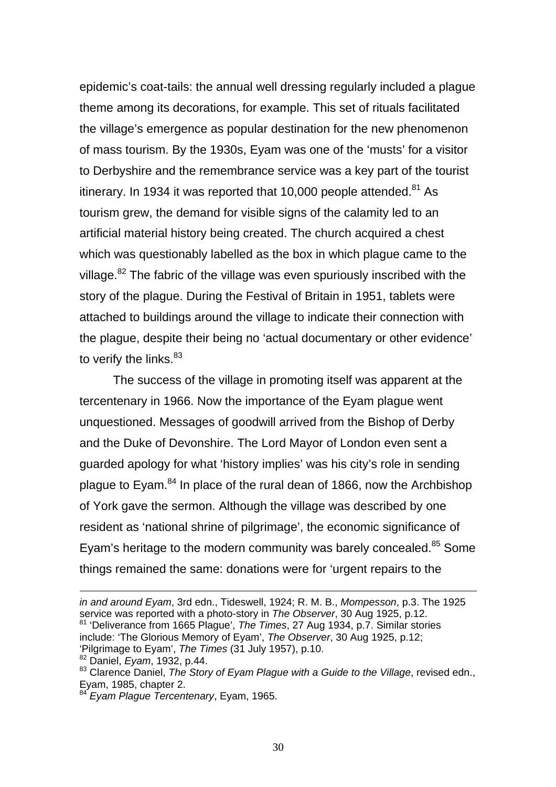epidemic's coat-tails: the annual well dressing regularly included a plague theme among its decorations, for example. This set of rituals facilitated the village's emergence as popular destination for the new phenomenon of mass tourism. By the 1930s, Eyam was one of the 'musts' for a visitor to Derbyshire and the remembrance service was a key part of the tourist itinerary. In 1934 it was reported that 10,000 people attended.<sup>81</sup> As tourism grew, the demand for visible signs of the calamity led to an artificial material history being created. The church acquired a chest which was questionably labelled as the box in which plague came to the village. $82$  The fabric of the village was even spuriously inscribed with the story of the plague. During the Festival of Britain in 1951, tablets were attached to buildings around the village to indicate their connection with the plague, despite their being no 'actual documentary or other evidence' to verify the links.<sup>[83](#page-31-2)</sup>

The success of the village in promoting itself was apparent at the tercentenary in 1966. Now the importance of the Eyam plague went unquestioned. Messages of goodwill arrived from the Bishop of Derby and the Duke of Devonshire. The Lord Mayor of London even sent a guarded apology for what 'history implies' was his city's role in sending plague to Eyam.<sup>84</sup> In place of the rural dean of 1866, now the Archbishop of York gave the sermon. Although the village was described by one resident as 'national shrine of pilgrimage', the economic significance of Eyam's heritage to the modern community was barely concealed.<sup>85</sup> Some things remained the same: donations were for 'urgent repairs to the

1

<span id="page-31-4"></span><span id="page-31-0"></span>*in and around Eyam*, 3rd edn., Tideswell, 1924; R. M. B., *Mompesson*, p.3. The 1925 service was reported with a photo-story in *The Observer*, 30 Aug 1925, p.12. 81 'Deliverance from 1665 Plague', *The Times*, 27 Aug 1934, p.7. Similar stories include: 'The Glorious Memory of Eyam', *The Observer*, 30 Aug 1925, p.12; 'Pilgrimage to Eyam', *The Times* (31 July 1957), p.10.

<span id="page-31-1"></span><sup>82</sup> Daniel, *Eyam*, 1932, p.44.

<span id="page-31-2"></span><sup>83</sup> Clarence Daniel, *The Story of Eyam Plague with a Guide to the Village*, revised edn., Eyam, 1985, chapter 2.

<span id="page-31-3"></span><sup>84</sup> *Eyam Plague Tercentenary*, Eyam, 1965.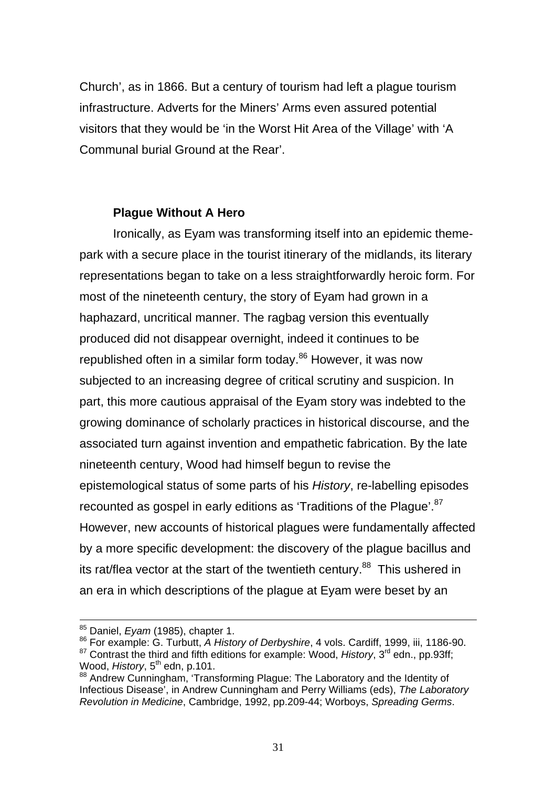Church', as in 1866. But a century of tourism had left a plague tourism infrastructure. Adverts for the Miners' Arms even assured potential visitors that they would be 'in the Worst Hit Area of the Village' with 'A Communal burial Ground at the Rear'.

# **Plague Without A Hero**

Ironically, as Eyam was transforming itself into an epidemic themepark with a secure place in the tourist itinerary of the midlands, its literary representations began to take on a less straightforwardly heroic form. For most of the nineteenth century, the story of Eyam had grown in a haphazard, uncritical manner. The ragbag version this eventually produced did not disappear overnight, indeed it continues to be republished often in a similar form today.<sup>86</sup> However, it was now subjected to an increasing degree of critical scrutiny and suspicion. In part, this more cautious appraisal of the Eyam story was indebted to the growing dominance of scholarly practices in historical discourse, and the associated turn against invention and empathetic fabrication. By the late nineteenth century, Wood had himself begun to revise the epistemological status of some parts of his *History*, re-labelling episodes recounted as gospel in early editions as 'Traditions of the Plaque'.<sup>[87](#page-32-1)</sup> However, new accounts of historical plagues were fundamentally affected by a more specific development: the discovery of the plague bacillus and its rat/flea vector at the start of the twentieth century.<sup>88</sup> This ushered in an era in which descriptions of the plague at Eyam were beset by an

85 Daniel, *Eyam* (1985), chapter 1.

<span id="page-32-0"></span><sup>86</sup> For example: G. Turbutt, *A History of Derbyshire*, 4 vols. Cardiff, 1999, iii, 1186-90.

<span id="page-32-1"></span><sup>&</sup>lt;sup>87</sup> Contrast the third and fifth editions for example: Wood, *History*, 3<sup>rd</sup> edn., pp.93ff; Wood, History, 5<sup>th</sup> edn, p.101.

<span id="page-32-2"></span><sup>88</sup> Andrew Cunningham, 'Transforming Plague: The Laboratory and the Identity of Infectious Disease', in Andrew Cunningham and Perry Williams (eds), *The Laboratory Revolution in Medicine*, Cambridge, 1992, pp.209-44; Worboys, *Spreading Germs*.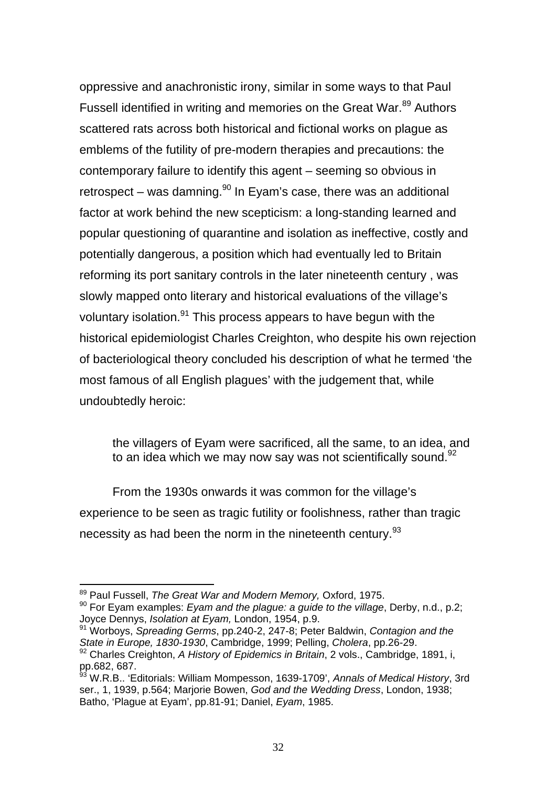oppressive and anachronistic irony, similar in some ways to that Paul Fussell identified in writing and memories on the Great War.<sup>89</sup> Authors scattered rats across both historical and fictional works on plague as emblems of the futility of pre-modern therapies and precautions: the contemporary failure to identify this agent – seeming so obvious in retrospect – was damning. $90$  In Eyam's case, there was an additional factor at work behind the new scepticism: a long-standing learned and popular questioning of quarantine and isolation as ineffective, costly and potentially dangerous, a position which had eventually led to Britain reforming its port sanitary controls in the later nineteenth century , was slowly mapped onto literary and historical evaluations of the village's voluntary isolation.<sup>91</sup> This process appears to have begun with the historical epidemiologist Charles Creighton, who despite his own rejection of bacteriological theory concluded his description of what he termed 'the most famous of all English plagues' with the judgement that, while undoubtedly heroic:

the villagers of Eyam were sacrificed, all the same, to an idea, and to an idea which we may now say was not scientifically sound. 92

From the 1930s onwards it was common for the village's experience to be seen as tragic futility or foolishness, rather than tragic necessity as had been the norm in the nineteenth century.<sup>93</sup>

<span id="page-33-0"></span><sup>89</sup> Paul Fussell, *The Great War and Modern Memory,* Oxford, 1975.

<span id="page-33-1"></span><sup>90</sup> For Eyam examples: *Eyam and the plague: a guide to the village*, Derby, n.d., p.2; Joyce Dennys, *Isolation at Eyam,* London, 1954, p.9.

<span id="page-33-2"></span><sup>91</sup> Worboys, *Spreading Germs*, pp.240-2, 247-8; Peter Baldwin, *Contagion and the State in Europe, 1830-1930*, Cambridge, 1999; Pelling, *Cholera*, pp.26-29.

<span id="page-33-3"></span><sup>92</sup> Charles Creighton, *A History of Epidemics in Britain*, 2 vols., Cambridge, 1891, i, pp.682, 687.

<span id="page-33-4"></span><sup>&</sup>lt;sup>93</sup> W.R.B.. 'Editorials: William Mompesson, 1639-1709', *Annals of Medical History*, 3rd ser., 1, 1939, p.564; Marjorie Bowen, *God and the Wedding Dress*, London, 1938; Batho, 'Plague at Eyam', pp.81-91; Daniel, *Eyam*, 1985.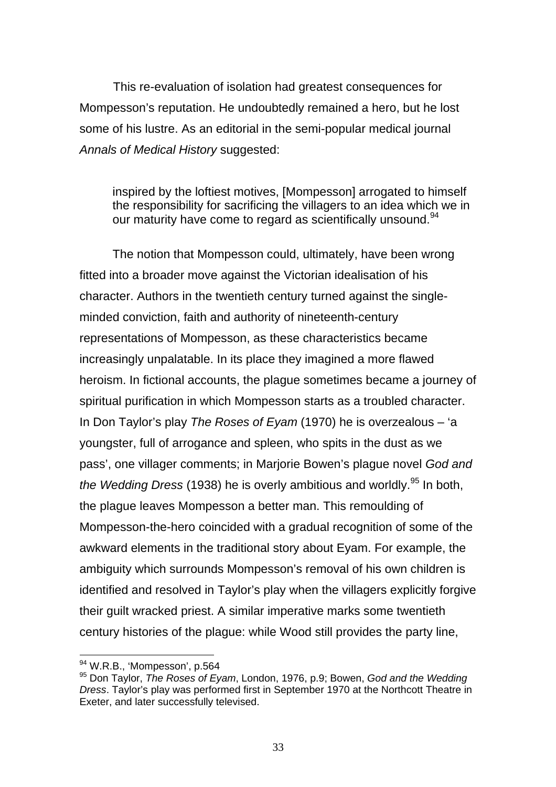This re-evaluation of isolation had greatest consequences for Mompesson's reputation. He undoubtedly remained a hero, but he lost some of his lustre. As an editorial in the semi-popular medical journal *Annals of Medical History* suggested:

inspired by the loftiest motives. [Mompesson] arrogated to himself the responsibility for sacrificing the villagers to an idea which we in our maturity have come to regard as scientifically unsound.<sup>[94](#page-34-0)</sup>

The notion that Mompesson could, ultimately, have been wrong fitted into a broader move against the Victorian idealisation of his character. Authors in the twentieth century turned against the singleminded conviction, faith and authority of nineteenth-century representations of Mompesson, as these characteristics became increasingly unpalatable. In its place they imagined a more flawed heroism. In fictional accounts, the plague sometimes became a journey of spiritual purification in which Mompesson starts as a troubled character. In Don Taylor's play *The Roses of Eyam* (1970) he is overzealous – 'a youngster, full of arrogance and spleen, who spits in the dust as we pass', one villager comments; in Marjorie Bowen's plague novel *God and the Wedding Dress* (1938) he is overly ambitious and worldly.<sup>95</sup> In both, the plague leaves Mompesson a better man. This remoulding of Mompesson-the-hero coincided with a gradual recognition of some of the awkward elements in the traditional story about Eyam. For example, the ambiguity which surrounds Mompesson's removal of his own children is identified and resolved in Taylor's play when the villagers explicitly forgive their guilt wracked priest. A similar imperative marks some twentieth century histories of the plague: while Wood still provides the party line,

<span id="page-34-0"></span><sup>94</sup> W.R.B., 'Mompesson', p.564

<span id="page-34-1"></span><sup>95</sup> Don Taylor, *The Roses of Eyam*, London, 1976, p.9; Bowen, *God and the Wedding Dress*. Taylor's play was performed first in September 1970 at the Northcott Theatre in Exeter, and later successfully televised.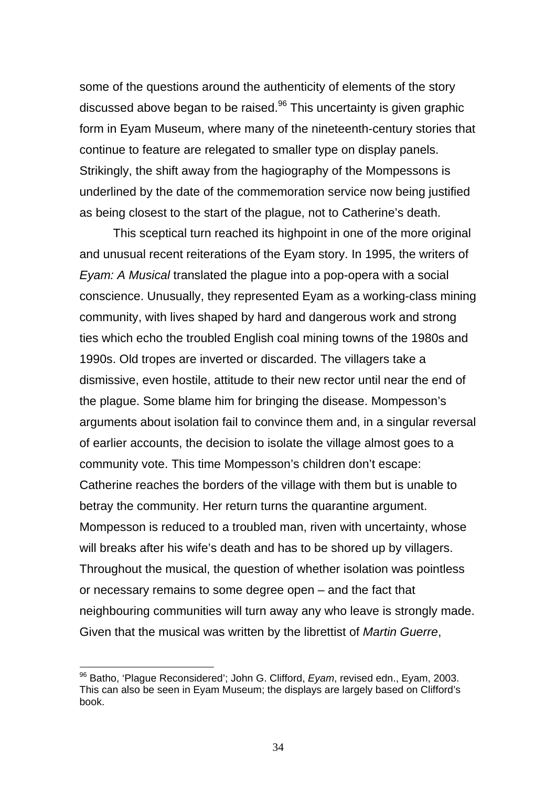some of the questions around the authenticity of elements of the story discussed above began to be raised. $96$  This uncertainty is given graphic form in Eyam Museum, where many of the nineteenth-century stories that continue to feature are relegated to smaller type on display panels. Strikingly, the shift away from the hagiography of the Mompessons is underlined by the date of the commemoration service now being justified as being closest to the start of the plague, not to Catherine's death.

This sceptical turn reached its highpoint in one of the more original and unusual recent reiterations of the Eyam story. In 1995, the writers of *Eyam: A Musical* translated the plague into a pop-opera with a social conscience. Unusually, they represented Eyam as a working-class mining community, with lives shaped by hard and dangerous work and strong ties which echo the troubled English coal mining towns of the 1980s and 1990s. Old tropes are inverted or discarded. The villagers take a dismissive, even hostile, attitude to their new rector until near the end of the plague. Some blame him for bringing the disease. Mompesson's arguments about isolation fail to convince them and, in a singular reversal of earlier accounts, the decision to isolate the village almost goes to a community vote. This time Mompesson's children don't escape: Catherine reaches the borders of the village with them but is unable to betray the community. Her return turns the quarantine argument. Mompesson is reduced to a troubled man, riven with uncertainty, whose will breaks after his wife's death and has to be shored up by villagers. Throughout the musical, the question of whether isolation was pointless or necessary remains to some degree open – and the fact that neighbouring communities will turn away any who leave is strongly made. Given that the musical was written by the librettist of *Martin Guerre*,

<span id="page-35-0"></span><sup>96</sup> Batho, 'Plague Reconsidered'; John G. Clifford, *Eyam*, revised edn., Eyam, 2003. This can also be seen in Eyam Museum; the displays are largely based on Clifford's book.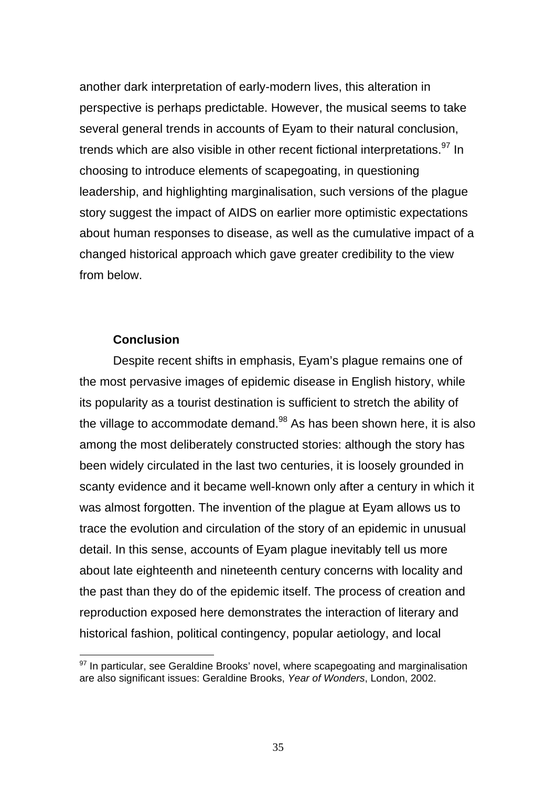another dark interpretation of early-modern lives, this alteration in perspective is perhaps predictable. However, the musical seems to take several general trends in accounts of Eyam to their natural conclusion, trends which are also visible in other recent fictional interpretations.<sup>97</sup> In choosing to introduce elements of scapegoating, in questioning leadership, and highlighting marginalisation, such versions of the plague story suggest the impact of AIDS on earlier more optimistic expectations about human responses to disease, as well as the cumulative impact of a changed historical approach which gave greater credibility to the view from below.

#### **Conclusion**

<span id="page-36-1"></span> $\overline{a}$ 

Despite recent shifts in emphasis, Eyam's plague remains one of the most pervasive images of epidemic disease in English history, while its popularity as a tourist destination is sufficient to stretch the ability of the village to accommodate demand. $98$  As has been shown here, it is also among the most deliberately constructed stories: although the story has been widely circulated in the last two centuries, it is loosely grounded in scanty evidence and it became well-known only after a century in which it was almost forgotten. The invention of the plague at Eyam allows us to trace the evolution and circulation of the story of an epidemic in unusual detail. In this sense, accounts of Eyam plague inevitably tell us more about late eighteenth and nineteenth century concerns with locality and the past than they do of the epidemic itself. The process of creation and reproduction exposed here demonstrates the interaction of literary and historical fashion, political contingency, popular aetiology, and local

<span id="page-36-0"></span> $97$  In particular, see Geraldine Brooks' novel, where scapegoating and marginalisation are also significant issues: Geraldine Brooks, *Year of Wonders*, London, 2002.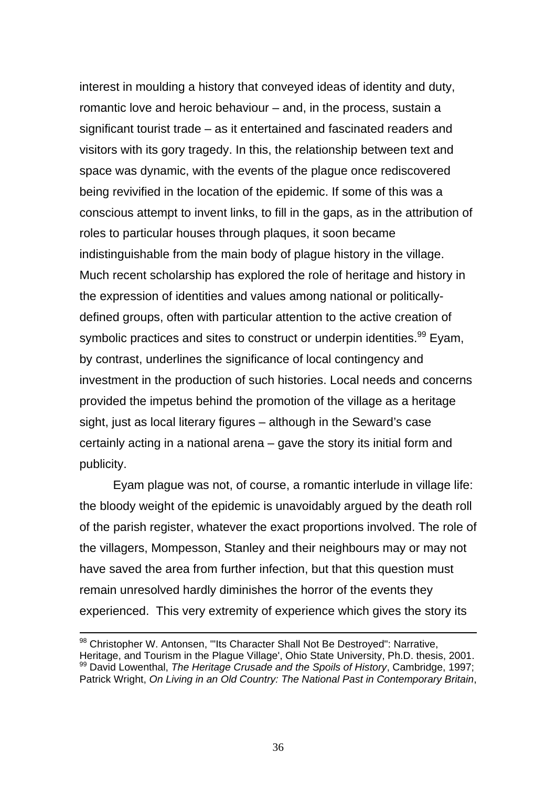<span id="page-37-0"></span>interest in moulding a history that conveyed ideas of identity and duty, romantic love and heroic behaviour – and, in the process, sustain a significant tourist trade – as it entertained and fascinated readers and visitors with its gory tragedy. In this, the relationship between text and space was dynamic, with the events of the plague once rediscovered being revivified in the location of the epidemic. If some of this was a conscious attempt to invent links, to fill in the gaps, as in the attribution of roles to particular houses through plaques, it soon became indistinguishable from the main body of plague history in the village. Much recent scholarship has explored the role of heritage and history in the expression of identities and values among national or politicallydefined groups, often with particular attention to the active creation of symbolic practices and sites to construct or underpin identities.<sup>99</sup> Eyam, by contrast, underlines the significance of local contingency and investment in the production of such histories. Local needs and concerns provided the impetus behind the promotion of the village as a heritage sight, just as local literary figures – although in the Seward's case certainly acting in a national arena – gave the story its initial form and publicity.

Eyam plague was not, of course, a romantic interlude in village life: the bloody weight of the epidemic is unavoidably argued by the death roll of the parish register, whatever the exact proportions involved. The role of the villagers, Mompesson, Stanley and their neighbours may or may not have saved the area from further infection, but that this question must remain unresolved hardly diminishes the horror of the events they experienced. This very extremity of experience which gives the story its

<sup>98</sup> Christopher W. Antonsen, "Its Character Shall Not Be Destroyed": Narrative, Heritage, and Tourism in the Plague Village', Ohio State University, Ph.D. thesis, 2001. 99 David Lowenthal, *The Heritage Crusade and the Spoils of History*, Cambridge, 1997; Patrick Wright, *On Living in an Old Country: The National Past in Contemporary Britain*,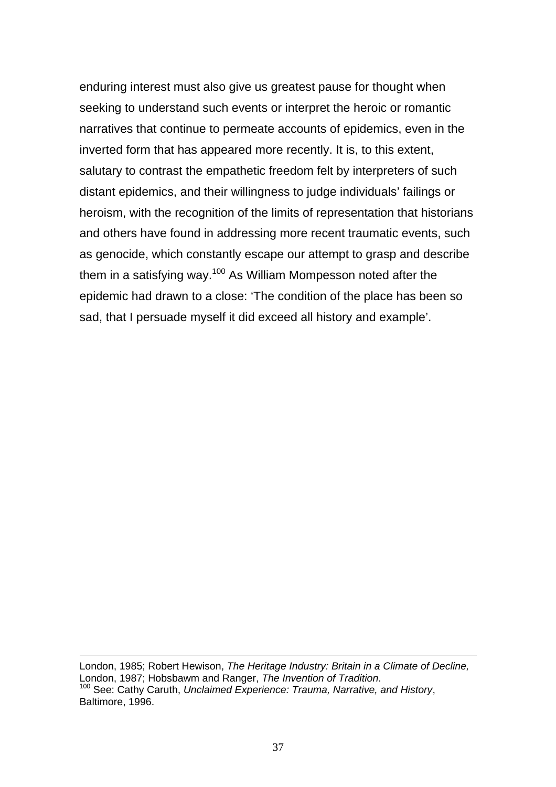enduring interest must also give us greatest pause for thought when seeking to understand such events or interpret the heroic or romantic narratives that continue to permeate accounts of epidemics, even in the inverted form that has appeared more recently. It is, to this extent, salutary to contrast the empathetic freedom felt by interpreters of such distant epidemics, and their willingness to judge individuals' failings or heroism, with the recognition of the limits of representation that historians and others have found in addressing more recent traumatic events, such as genocide, which constantly escape our attempt to grasp and describe them in a satisfying way.<sup>100</sup> As William Mompesson noted after the epidemic had drawn to a close: 'The condition of the place has been so sad, that I persuade myself it did exceed all history and example'.

<span id="page-38-0"></span>London, 1985; Robert Hewison, *The Heritage Industry: Britain in a Climate of Decline,* London, 1987; Hobsbawm and Ranger, *The Invention of Tradition.*<br><sup>100</sup> See: Cathy Caruth, *Unclaimed Experience: Trauma, Narrative, and History*, Baltimore, 1996.

1